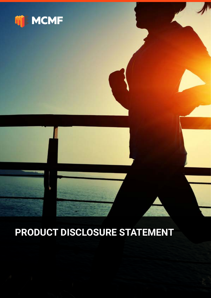

# **PRODUCT DISCLOSURE STATEMENT**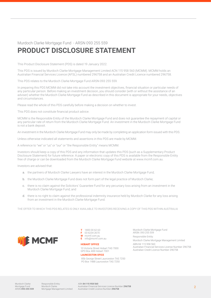#### Murdoch Clarke Mortgage Fund - ARSN 093 255 559

### **PRODUCT DISCLOSURE STATEMENT**

This Product Disclosure Statement (PDS) is dated 19 January 2022.

This PDS is issued by Murdoch Clarke Mortgage Management Limited ACN 115 958 560 (MCMM). MCMM holds an Australian Financial Services Licence (AFSL) numbered 296758 and an Australian Credit Licence numbered 296758.

This PDS relates to the Murdoch Clarke Mortgage Fund ARSN 093 255 559.

In preparing this PDS MCMM did not take into account the investment objectives, financial situation or particular needs of any particular person. Before making an investment decision, you should consider (with or without the assistance of an adviser) whether the Murdoch Clarke Mortgage Fund as described in this document is appropriate for your needs, objectives and circumstances.

Please read the whole of this PDS carefully before making a decision on whether to invest.

This PDS does not constitute financial product advice.

MCMM is the Responsible Entity of the Murdoch Clarke Mortgage Fund and does not guarantee the repayment of capital or any particular rate of return from the Murdoch Clarke Mortgage Fund. An investment in the Murdoch Clarke Mortgage Fund is not a bank deposit.

An investment in the Murdoch Clarke Mortgage Fund may only be made by completing an application form issued with this PDS.

Unless otherwise indicated all statements and assertions in this PDS are made by MCMM.

A reference to "we" or "us" or "our" or "the Responsible Entity" means MCMM.

Investors should keep a copy of this PDS and any information that updates this PDS (such as a Supplementary Product Disclosure Statement) for future reference. A paper or electronic copy of this PDS is available from the Responsible Entity free of charge or can be downloaded from the Murdoch Clarke Mortgage Fund website at www.mcmf.com.au.

Investors are advised that:

- a. the partners of Murdoch Clarke Lawyers have an interest in the Murdoch Clarke Mortgage Fund;
- b. the Murdoch Clarke Mortgage Fund does not form part of the legal practice of Murdoch Clarke;
- c. there is no claim against the Solicitors' Guarantee Fund for any pecuniary loss arising from an investment in the Murdoch Clarke Mortgage Fund; and
- d. there is no right to claim against the professional indemnity insurance held by Murdoch Clarke for any loss arising from an investment in the Murdoch Clarke Mortgage Fund.

THE OFFER TO WHICH THIS PDS RELATES IS ONLY AVAILABLE TO INVESTORS RECEIVING A COPY OF THIS PDS WITHIN AUSTRALIA



**T** 1800 00 62 63 **F** 03 6234 2670 **W** mcmf.com.au **E** info@mcmf.com.au

#### **HOBART OFFICE**

10 Victoria Street Hobart TAS 7000 GPO Box 408 Hobart 7001

#### **LAUNCESTON OFICE**

85b George Street Launceston TAS 7250 PO Box 1488 Launceston TAS 7250

Murdoch Clarke Mortgage Fund ARSN: 093 255 559 Responsible Entity: Murdoch Clarke Mortgage Management Limited ABN 84 115 958 560 Australian Financial Services License Number 296758 Australian Credit Licence Number 296758

Responsible Entity: Murdoch Clarke Mortgage Management Limited ABN 84 115 958 560 Australian Financial Services Licence Number 296758 Australian Credit Licence Number 296758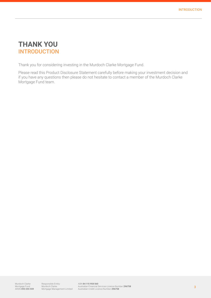### **THANK YOU INTRODUCTION**

Thank you for considering investing in the Murdoch Clarke Mortgage Fund.

Please read this Product Disclosure Statement carefully before making your investment decision and if you have any questions then please do not hesitate to contact a member of the Murdoch Clarke Mortgage Fund team.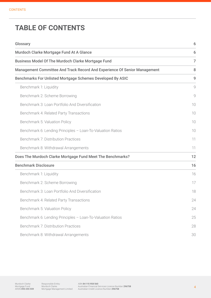### **TABLE OF CONTENTS**

| Glossary                                                                  | 6              |
|---------------------------------------------------------------------------|----------------|
| Murdoch Clarke Mortgage Fund At A Glance                                  | 6              |
| <b>Business Model Of The Murdoch Clarke Mortgage Fund</b>                 | $\overline{7}$ |
| Management Committee And Track Record And Experience Of Senior Management | 8              |
| Benchmarks For Unlisted Mortgage Schemes Developed By ASIC                | 9              |
| Benchmark 1: Liquidity                                                    | 9              |
| Benchmark 2: Scheme Borrowing                                             | 9              |
| Benchmark 3: Loan Portfolio And Diversification                           | 10             |
| Benchmark 4: Related Party Transactions                                   | 10             |
| Benchmark 5: Valuation Policy                                             | 10             |
| Benchmark 6: Lending Principles - Loan-To-Valuation Ratios                | 10             |
| <b>Benchmark 7: Distribution Practices</b>                                | 11             |
| Benchmark 8: Withdrawal Arrangements                                      | 11             |
| Does The Murdoch Clarke Mortgage Fund Meet The Benchmarks?                | 12             |
| <b>Benchmark Disclosure</b>                                               | 16             |
| Benchmark 1: Liquidity                                                    | 16             |
| Benchmark 2: Scheme Borrowing                                             | 17             |
| Benchmark 3: Loan Portfolio And Diversification                           | 18             |
| Benchmark 4: Related Party Transactions                                   | 24             |
| Benchmark 5: Valuation Policy                                             | 24             |
| Benchmark 6: Lending Principles - Loan-To-Valuation Ratios                | 25             |
| Benchmark 7: Distribution Practices                                       | 28             |
| Benchmark 8: Withdrawal Arrangements                                      | 30             |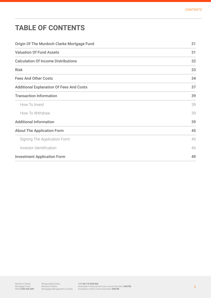# **TABLE OF CONTENTS**

| Origin Of The Murdoch Clarke Mortgage Fund      | 31 |
|-------------------------------------------------|----|
| <b>Valuation Of Fund Assets</b>                 | 31 |
| <b>Calculation Of Income Distributions</b>      | 32 |
| <b>Risk</b>                                     | 33 |
| <b>Fees And Other Costs</b>                     | 34 |
| <b>Additional Explanation Of Fees And Costs</b> | 37 |
| <b>Transaction Information</b>                  | 39 |
| How To Invest                                   | 39 |
| How To Withdraw                                 | 39 |
| <b>Additional Information</b>                   | 39 |
| <b>About The Application Form</b>               | 45 |
| Signing The Application Form                    | 45 |
| Investor Identification                         | 46 |
| <b>Investment Application Form</b>              | 49 |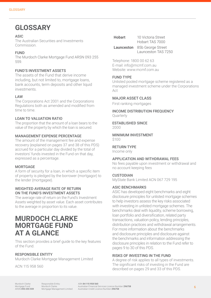### **GLOSSARY**

#### ASIC

The Australian Securities and Investments Commission.

#### FUND

The Murdoch Clarke Mortgage Fund ARSN 093 255 559.

#### FUND'S INVESTMENT ASSETS

The assets of the Fund that derive income including, but not limited to, mortgage loans, bank accounts, term deposits and other liquid investments.

#### LAW

The Corporations Act 2001 and the Corporations Regulations both as amended and modified from time to time.

#### LOAN TO VALUATION RATIO

The proportion that the amount of a loan bears to the value of the property by which the loan is secured.

#### MANAGEMENT EXPENSE PERCENTAGE

The amount of the management fee and expense recovery (explained on pages 37 and 38 of this PDS) accrued for a particular day divided by the total of investors' funds invested in the Fund on that day, expressed as a percentage.

#### MORTGAGE

A form of security for a loan, in which a specific item of property is pledged by the borrower (mortgagor) to the lender (mortgagee).

#### WEIGHTED AVERAGE RATE OF RETURN ON THE FUND'S INVESTMENT ASSETS

The average rate of return on the Fund's Investment Assets weighted by asset value. Each asset contributes to the average in proportion to its value.

### **MURDOCH CLARKE MORTGAGE FUND AT A GLANCE**

This section provides a brief guide to the key features of the Fund.

#### RESPONSIBLE ENTITY

Murdoch Clarke Mortgage Management Limited

ACN 115 958 560

| Hobart | 10 Victoria Street<br>Hobart TAS 7000                      |
|--------|------------------------------------------------------------|
|        | <b>Launceston</b> 85b George Street<br>Launceston TAS 7250 |

Telephone: 1800 00 62 63 E-mail: info@mcmf.com.au Website: www.mcmf.com.au

#### FUND TYPE

Unlisted pooled mortgage scheme registered as a managed investment scheme under the Corporations  $\Delta$ ct

#### MAJOR ASSET CLASS

First ranking mortgages

INCOME DISTRIBUTION FREQUENCY Quarterly

ESTABLISHED SINCE

2000

MINIMUM INVESTMENT \$100

#### RETURN TYPE

Income only

#### APPLICATION AND WITHDRAWAL FEES

No fees payable upon investment or withdrawal and no account keeping fees

#### **CUSTODIAN**

MyState Bank Limited ACN 067 729 195

#### ASIC BENCHMARKS

ASIC has developed eight benchmarks and eight disclosure principles for unlisted mortgage schemes to help investors assess the key risks associated with investing in unlisted mortgage schemes. The benchmarks deal with liquidity, scheme borrowing, loan portfolio and diversification, related party transactions, valuation policy, lending principles, distribution practices and withdrawal arrangements. For more information about the benchmarks and disclosure principles and disclosure against the benchmarks and information addressing the disclosure principles in relation to the Fund refer to pages 9 to 30 of this PDS.

#### RISKS OF INVESTING IN THE FUND

A degree of risk applies to all types of investments. The significant risks of investing in the Fund are described on pages 29 and 33 of this PDS.

Murdoch Clarke Mortgage Fund ARSN 093 255 559 Responsible Entity: Murdoch Clarke Mortgage Management Limited

ABN 84 115 958 560 Australian Financial Services Licence Number 296758 Australian Credit Licence Number 296758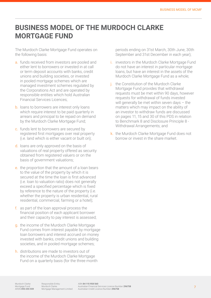# **BUSINESS MODEL OF THE MURDOCH CLARKE MORTGAGE FUND**

The Murdoch Clarke Mortgage Fund operates on the following basis:

- a. funds received from investors are pooled and either lent to borrowers or invested in at call or term deposit accounts with banks, credit unions and building societies, or invested in pooled mortgage schemes which are managed investment schemes regulated by the Corporations Act and are operated by responsible entities which hold Australian Financial Services Licences;
- b. loans to borrowers are interest only loans which require interest to be paid quarterly in arrears and principal to be repaid on demand by the Murdoch Clarke Mortgage Fund;
- c. funds lent to borrowers are secured by registered first mortgages over real property (i.e. land which is either vacant or built on);
- d. loans are only approved on the basis of valuations of real property offered as security obtained from registered valuers or on the basis of government valuations;
- e. the proportion that the amount of a loan bears to the value of the property by which it is secured at the time the loan is first advanced (i.e. loan to valuation ratio) does not generally exceed a specified percentage which is fixed by reference to the nature of the property (i.e. whether the property is urban residential, rural residential, commercial, farming or a hotel);
- f. as part of the loan approval process the financial position of each applicant borrower and their capacity to pay interest is assessed;
- g. the income of the Murdoch Clarke Mortgage Fund comes from interest payable by mortgage loan borrowers and interest accrued on money invested with banks, credit unions and building societies, and in pooled mortgage schemes;
- h. distributions are made to investors out of the income of the Murdoch Clarke Mortgage Fund on a quarterly basis (for the three month

periods ending on 31st March, 30th June, 30th September and 31st December in each year);

- i. investors in the Murdoch Clarke Mortgage Fund do not have an interest in particular mortgage loans, but have an interest in the assets of the Murdoch Clarke Mortgage Fund as a whole;
- i. the Constitution of the Murdoch Clarke Mortgage Fund provides that withdrawal requests must be met within 90 days, however requests for withdrawal of funds invested will generally be met within seven days – the matters which may impact on the ability of an investor to withdraw funds are discussed on pages 11, 15 and 30 of this PDS in relation to Benchmark 8 and Disclosure Principle 8 - Withdrawal Arrangements; and
- k. the Murdoch Clarke Mortgage Fund does not borrow or invest in the share market.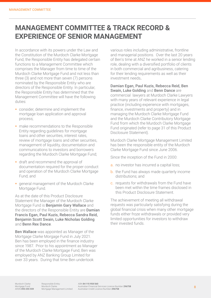## **MANAGEMENT COMMITTEE & TRACK RECORD & EXPERIENCE OF SENIOR MANAGEMENT**

In accordance with its powers under the Law and the Constitution of the Murdoch Clarke Mortgage Fund, the Responsible Entity has delegated certain functions to a Management Committee which comprises the Manager from time to time of the Murdoch Clarke Mortgage Fund and not less than three (3) and not more than seven (7) persons nominated by the Responsible Entity who are directors of the Responsible Entity. In particular, the Responsible Entity has determined that the Management Committee will have the following duties:

- consider, determine and implement the mortgage loan application and approval process;
- **n** make recommendations to the Responsible Entity regarding guidelines for mortgage loans and other securities, interest rates, review of mortgage loans and other securities, management of liquidity, documentation and communications to investors and borrowers regarding the Murdoch Clarke Mortgage Fund;
- **draft and recommend the approval of** documentation required for the proper conduct and operation of the Murdoch Clarke Mortgage Fund; and
- **qeneral management of the Murdoch Clarke** Mortgage Fund.

As at the date of this Product Disclosure Statement the Manager of the Murdoch Clarke Mortgage Fund is Benjamin Gary Wallace and the directors of the Responsible Entity are **Damian** Francis Egan, Paul Kuzis, Rebecca Sandra Reid, Benjamin Scott Swain, Luke Nicholas Golding and Benn Rex Dance.

Ben Wallace was appointed as Manager of the Mortgage Clarke Morgage Fund in July 2021. Ben has been employed in the finance industry since 1987. Prior to his appointment as Manager of the Murdoch Clarke Mortgage Fund, Ben was employed by ANZ Banking Group Limited for over 33 years. During that time Ben undertook

various roles including administrative, frontline and managerial positions. Over the last 20 years of Ben's time at ANZ he worked in a senior lending role, dealing with a diversified portfolio of clients in both commercial and agribusiness, catering for their lending requirements as well as their investment needs.

Damian Egan, Paul Kuzis, Rebecca Reid, Ben Swain, Luke Golding and Benn Dance are commercial lawyers at Murdoch Clarke Lawyers with many years of relevant experience in legal practice (including experience with mortgages, finance, investments and property) and in managing the Murdoch Clarke Mortgage Fund and the Murdoch Clarke Contributory Mortgage Fund from which the Murdoch Clarke Mortgage Fund originated (refer to page 31 of this Product Disclosure Statement).

Murdoch Clarke Mortgage Management Limited has been the responsible entity of the Murdoch Clarke Mortgage Fund since June 2006.

Since the inception of the Fund in 2000:

- a. no investor has incurred a capital loss;
- b. the Fund has always made quarterly income distributions; and
- c. requests for withdrawals from the Fund have been met within the time frames disclosed in this Product Disclosure Statement.

The achievement of meeting all withdrawal requests was particularly satisfying during the global financial crisis when many other mortgage funds either froze withdrawals or provided very limited opportunities for investors to withdraw their invested funds.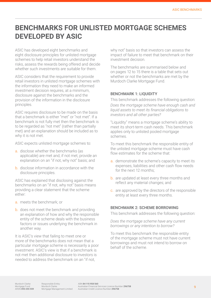### **BENCHMARKS FOR UNLISTED MORTGAGE SCHEMES DEVELOPED BY ASIC**

ASIC has developed eight benchmarks and eight disclosure principles for unlisted mortgage schemes to help retail investors understand the risks, assess the rewards being offered and decide whether such investments are suitable for them.

ASIC considers that the requirement to provide retail investors in unlisted mortgage schemes with the information they need to make an informed investment decision requires, at a minimum, disclosure against the benchmarks and the provision of the information in the disclosure principles.

ASIC requires disclosure to be made on the basis that a benchmark is either "met" or "not met". If a benchmark is not fully met then the benchmark is to be regarded as "not met" (rather than partially met) and an explanation should be included as to why it is not met.

ASIC expects unlisted mortgage schemes to:

- a. disclose whether the benchmarks (as applicable) are met and, if not met, provide an explanation on an "if not, why not" basis; and
- b. disclose information in accordance with the disclosure principles.

ASIC has explained that disclosing against the benchmarks on an "if not, why not" basis means providing a clear statement that the scheme either:

- a. meets the benchmark; or
- b. does not meet the benchmark and providing an explanation of how and why the responsible entity of the scheme deals with the business factors or issues underlying the benchmark in another way.

It is ASIC's view that failing to meet one or more of the benchmarks does not mean that a particular mortgage scheme is necessarily a poor investment. ASIC's view is that if a benchmark is not met then additional disclosure to investors is needed to address the benchmark on an "if not,

why not" basis so that investors can assess the impact of failure to meet that benchmark on their investment decision.

The benchmarks are summarised below and on pages 12 to 15 there is a table that sets out whether or not the benchmarks are met by the Murdoch Clarke Mortgage Fund.

#### BENCHMARK 1: LIQUIDITY

This benchmark addresses the following question: *Does the mortgage scheme have enough cash and liquid assets to meet its financial obligations to investors and all other parties?*

"Liquidity" means a mortgage scheme's ability to meet its short-term cash needs. This benchmark applies only to unlisted pooled mortgage schemes.

To meet this benchmark the responsible entity of the unlisted mortgage scheme must have cash flow estimates for the scheme that:

- a. demonstrate the scheme's capacity to meet its expenses, liabilities and other cash flow needs for the next 12 months;
- b. are updated at least every three months and reflect any material changes; and
- c. are approved by the directors of the responsible entity at least every three months.

#### BENCHMARK 2: SCHEME BORROWING

This benchmark addresses the following question:

*Does the mortgage scheme have any current borrowings or any intention to borrow?*

To meet this benchmark the responsible entity of the mortgage scheme must not have current borrowings and must not intend to borrow on behalf of the scheme.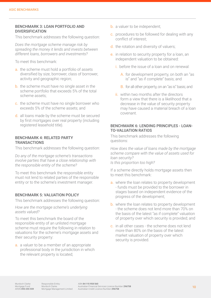#### BENCHMARK 3: LOAN PORTFOLIO AND DIVERSIFICATION

This benchmark addresses the following question:

*Does the mortgage scheme manage risk by spreading the money it lends and invests between different loans, borrowers and investments?*

To meet this benchmark:

- a. the scheme must hold a portfolio of assets diversified by size, borrower, class of borrower, activity and geographic region;
- b. the scheme must have no single asset in the scheme portfolio that exceeds 5% of the total scheme assets;
- c. the scheme must have no single borrower who exceeds 5% of the scheme assets; and
- d. all loans made by the scheme must be secured by first mortgages over real property (including registered leasehold title).

#### BENCHMARK 4: RELATED PARTY **TRANSACTIONS**

This benchmark addresses the following question:

*Do any of the mortgage scheme's transactions involve parties that have a close relationship with the responsible entity of the scheme?*

To meet this benchmark the responsible entity must not lend to related parties of the responsible entity or to the scheme's investment manager.

#### BENCHMARK 5: VALUATION POLICY

This benchmark addresses the following question:

*How are the mortgage scheme's underlying assets valued?*

To meet this benchmark the board of the responsible entity of an unlisted mortgage scheme must require the following in relation to valuations for the scheme's mortgage assets and their security property:

a. a valuer to be a member of an appropriate professional body in the jurisdiction in which the relevant property is located;

- **b.** a valuer to be independent;
- c. procedures to be followed for dealing with any conflict of interest;
- d. the rotation and diversity of valuers;
- e. in relation to security property for a loan, an independent valuation to be obtained:
	- i. before the issue of a loan and on renewal:
		- A. for development property, on both an "as is" and "as if complete" basis; and
		- B. for all other property, on an "as is" basis; and
	- **ii.** within two months after the directors form a view that there is a likelihood that a decrease in the value of security property may have caused a material breach of a loan covenant.

#### BENCHMARK 6: LENDING PRINCIPLES - LOAN-TO-VALUATION RATIOS

This benchmark addresses the following questions:

*How does the value of loans made by the mortgage scheme compare with the value of assets used for loan security? Is this proportion too high?*

If a scheme directly holds mortgage assets then to meet this benchmark:

- a. where the loan relates to property development - funds must be provided to the borrower in stages based on independent evidence of the progress of the development;
- b. where the loan relates to property development - the scheme does not lend more than 70% on the basis of the latest "as if complete" valuation of property over which security is provided; and
- c. in all other cases the scheme does not lend more than 80% on the basis of the latest market valuation of property over which security is provided.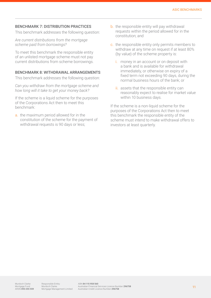#### BENCHMARK 7: DISTRIBUTION PRACTICES

This benchmark addresses the following question:

*Are current distributions from the mortgage scheme paid from borrowings?*

To meet this benchmark the responsible entity of an unlisted mortgage scheme must not pay current distributions from scheme borrowings.

#### BENCHMARK 8: WITHDRAWAL ARRANGEMENTS

This benchmark addresses the following question:

*Can you withdraw from the mortgage scheme and how long will it take to get your money back?*

If the scheme is a liquid scheme for the purposes of the Corporations Act then to meet this benchmark:

a. the maximum period allowed for in the constitution of the scheme for the payment of withdrawal requests is 90 days or less;

- b. the responsible entity will pay withdrawal requests within the period allowed for in the constitution; and
- c. the responsible entity only permits members to withdraw at any time on request if at least 80% (by value) of the scheme property is:
	- i. money in an account or on deposit with a bank and is available for withdrawal immediately, or otherwise on expiry of a fixed term not exceeding 90 days, during the normal business hours of the bank; or
	- ii. assets that the responsible entity can reasonably expect to realise for market value within 10 business days.

If the scheme is a non-liquid scheme for the purposes of the Corporations Act then to meet this benchmark the responsible entity of the scheme must intend to make withdrawal offers to investors at least quarterly.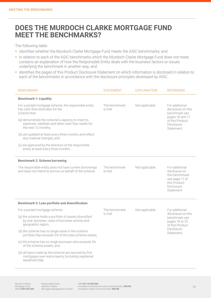### **DOES THE MURDOCH CLARKE MORTGAGE FUND MEET THE BENCHMARKS?**

The following table:

- **identifies whether the Murdoch Clarke Mortgage Fund meets the ASIC benchmarks; and**
- **in relation to each of the ASIC benchmarks which the Murdoch Clarke Mortgage Fund does not meet,** contains an explanation of how the Responsible Entity deals with the business factors or issues underlying the benchmark in another way; and
- identifies the pages of this Product Disclosure Statement on which information is disclosed in relation to each of the benchmarks in accordance with the disclosure principles developed by ASIC.

| <b>BENCHMARK</b>                                                                                                                  | <b>STATEMENT</b>        | <b>EXPLANATION</b> | <b>REFERENCE</b>                                                                                                       |
|-----------------------------------------------------------------------------------------------------------------------------------|-------------------------|--------------------|------------------------------------------------------------------------------------------------------------------------|
| <b>Benchmark 1: Liquidity</b>                                                                                                     |                         |                    |                                                                                                                        |
| For a pooled mortgage scheme, the responsible entity<br>has cash flow estimates for the<br>scheme that:                           | The benchmark<br>is met | Not applicable     | For additional<br>disclosure on this<br>benchmark see                                                                  |
| (a) demonstrate the scheme's capacity to meet its<br>expenses, liabilities and other cash flow needs for<br>the next 12 months;   |                         |                    | pages 16 and 17<br>of this Product<br>Disclosure<br>Statement.                                                         |
| (b) are updated at least every three months and reflect<br>any material changes; and                                              |                         |                    |                                                                                                                        |
| (c) are approved by the directors of the responsible<br>entity at least every three months.                                       |                         |                    |                                                                                                                        |
| <b>Benchmark 2: Scheme borrowing</b>                                                                                              |                         |                    |                                                                                                                        |
| The responsible entity does not have current borrowings<br>and does not intend to borrow on behalf of the scheme.                 | The benchmark<br>is met | Not applicable     | For additional<br>disclosure on<br>this benchmark<br>see page 17 of<br>this Product<br><b>Disclosure</b><br>Statement. |
| <b>Benchmark 3: Loan portfolio and diversification</b>                                                                            |                         |                    |                                                                                                                        |
| For a pooled mortgage scheme:                                                                                                     | The benchmark           | Not applicable     | For additional                                                                                                         |
| (a) the scheme holds a portfolio of assets diversified<br>by size, borrower, class of borrower activity and<br>geographic region; | is met                  |                    | disclosure on this<br>benchmark see<br>pages 18 to 23<br>of this Product                                               |
| (b) the scheme has no single asset in the scheme<br>portfolio that exceeds 5% of the total scheme assets;                         |                         |                    | <b>Disclosure</b><br>Statement.                                                                                        |
| (c) the scheme has no single borrower who exceeds 5%<br>of the scheme assets; and                                                 |                         |                    |                                                                                                                        |
| (d) all loans made by the scheme are secured by first<br>mortgages over real property (including registered<br>leasehold title).  |                         |                    |                                                                                                                        |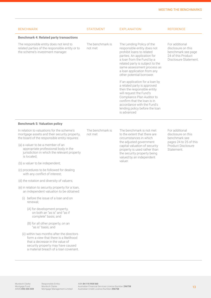| <b>BENCHMARK</b>                                                                                                                                                                                      | <b>STATEMENT</b>            | <b>EXPLANATION</b>                                                                                                                                                                                                                                                             | <b>REFERENCE</b>                                                                                          |
|-------------------------------------------------------------------------------------------------------------------------------------------------------------------------------------------------------|-----------------------------|--------------------------------------------------------------------------------------------------------------------------------------------------------------------------------------------------------------------------------------------------------------------------------|-----------------------------------------------------------------------------------------------------------|
| <b>Benchmark 4: Related party transactions</b>                                                                                                                                                        |                             |                                                                                                                                                                                                                                                                                |                                                                                                           |
| The responsible entity does not lend to<br>related parties of the responsible entity or to<br>the scheme's investment manager.                                                                        | The benchmark is<br>not met | The Lending Policy of the<br>responsible entity does not<br>prohibit loans to related<br>parties. An application for<br>a loan from the Fund by a<br>related party is subject to the<br>same assessment process as<br>a loan application from any<br>other potential borrower. | For additional<br>disclosure on this<br>benchmark see page<br>24 of this Product<br>Disclosure Statement. |
|                                                                                                                                                                                                       |                             | If an application for a loan by<br>a related party is approved<br>then the responsible entity<br>will request the Fund's<br>Compliance Plan Auditor to<br>confirm that the loan is in<br>accordance with the Fund's<br>lending policy before the loan<br>is advanced           |                                                                                                           |
| <b>Benchmark 5: Valuation policy</b>                                                                                                                                                                  |                             |                                                                                                                                                                                                                                                                                |                                                                                                           |
| In relation to valuations for the scheme's<br>mortgage assets and their security property,<br>the board of the responsible entity requires:                                                           | The benchmark is<br>not met | The benchmark is not met<br>to the extent that there are<br>circumstances in which                                                                                                                                                                                             | For additional<br>disclosure on this<br>benchmark see<br>pages 24 to 25 of this                           |
| (a) a valuer to be a member of an<br>appropriate professional body in the<br>jurisdiction in which the relevant property<br>is located;                                                               |                             | the adjusted government<br>capital valuation of security<br>property is used rather than<br>the security property being<br>valued by an independent                                                                                                                            | Product Disclosure<br>Statement.                                                                          |
| (b) a valuer to be independent;                                                                                                                                                                       |                             | valuer.                                                                                                                                                                                                                                                                        |                                                                                                           |
| (c) procedures to be followed for dealing<br>with any conflict of interest;                                                                                                                           |                             |                                                                                                                                                                                                                                                                                |                                                                                                           |
| (d) the rotation and diversity of valuers;                                                                                                                                                            |                             |                                                                                                                                                                                                                                                                                |                                                                                                           |
| (e) in relation to security property for a loan,<br>an independent valuation to be obtained:                                                                                                          |                             |                                                                                                                                                                                                                                                                                |                                                                                                           |
| (i) before the issue of a loan and on<br>renewal;                                                                                                                                                     |                             |                                                                                                                                                                                                                                                                                |                                                                                                           |
| (A) for development property,<br>on both an "as is" and "as if<br>complete" basis; and                                                                                                                |                             |                                                                                                                                                                                                                                                                                |                                                                                                           |
| (B) for all other property, on an<br>"as is" basis; and                                                                                                                                               |                             |                                                                                                                                                                                                                                                                                |                                                                                                           |
| (ii) within two months after the directors<br>form a view that there is a likelihood<br>that a decrease in the value of<br>security property may have caused<br>a material breach of a loan covenant. |                             |                                                                                                                                                                                                                                                                                |                                                                                                           |

Murdoch Clarke<br>Mortgage Fund<br>ARSN **093 255 559**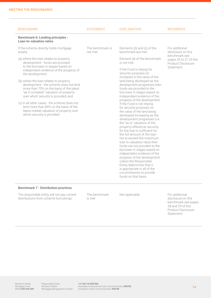| <b>BENCHMARK</b>                                                                                                                                                                                                                                                                                                                                                                                                                                                                                                                                                       | <b>STATEMENT</b>            | <b>EXPLANATION</b>                                                                                                                                                                                                                                                                                                                                                                                                                                                                                                                                                                                                                                                                                                                                                                                               | <b>REFERENCE</b>                                                           |
|------------------------------------------------------------------------------------------------------------------------------------------------------------------------------------------------------------------------------------------------------------------------------------------------------------------------------------------------------------------------------------------------------------------------------------------------------------------------------------------------------------------------------------------------------------------------|-----------------------------|------------------------------------------------------------------------------------------------------------------------------------------------------------------------------------------------------------------------------------------------------------------------------------------------------------------------------------------------------------------------------------------------------------------------------------------------------------------------------------------------------------------------------------------------------------------------------------------------------------------------------------------------------------------------------------------------------------------------------------------------------------------------------------------------------------------|----------------------------------------------------------------------------|
| <b>Benchmark 6: Lending principles -</b><br><b>Loan-to-valuation ratios</b>                                                                                                                                                                                                                                                                                                                                                                                                                                                                                            |                             |                                                                                                                                                                                                                                                                                                                                                                                                                                                                                                                                                                                                                                                                                                                                                                                                                  |                                                                            |
| If the scheme directly holds mortgage<br>assets:                                                                                                                                                                                                                                                                                                                                                                                                                                                                                                                       | The benchmark is<br>not met | Elements (b) and (c) of the<br>benchmark are met.                                                                                                                                                                                                                                                                                                                                                                                                                                                                                                                                                                                                                                                                                                                                                                | For additional<br>disclosure on this                                       |
| (a) where the loan relates to property<br>development - funds are provided<br>to the borrower in stages based on<br>independent evidence of the progress of<br>the development;<br>(b) where the loan relates to property<br>development - the scheme does not lend<br>more than 70% on the basis of the latest<br>"as if complete" valuation of property<br>over which security is provided; and<br>(c) in all other cases - the scheme does not<br>lend more than 80% on the basis of the<br>latest market valuation of property over<br>which security is provided. |                             | Element (a) of the benchmark<br>is not met.<br>If the Fund is relying for<br>security purposes on<br>increases in the value of the<br>land being developed as the<br>development progresses then<br>funds are provided to the<br>borrower in stages based on<br>independent evidence of the<br>progress of the development.<br>If the Fund is not relying<br>for security purposes on<br>the value of the land being<br>developed increasing as the<br>development progresses (i.e.<br>the "as is" valuation of the<br>property offered as security<br>for the loan is sufficient for<br>the full amount of the loan<br>not to exceed the maximum<br>loan to valuation ratio) then<br>funds are not provided to the<br>borrower in stages based on<br>independent evidence of the<br>progress of the development | benchmark see<br>pages 25 to 27 of this<br>Product Disclosure<br>Statement |
|                                                                                                                                                                                                                                                                                                                                                                                                                                                                                                                                                                        |                             | unless the Responsible<br>Entity determines that it<br>is appropriate in all of the<br>circumstances to provide<br>funds on that basis.                                                                                                                                                                                                                                                                                                                                                                                                                                                                                                                                                                                                                                                                          |                                                                            |

#### **Benchmark 7 - Distribution practices**

The responsible entity will not pay current distributions from scheme borrowings.

The benchmark is met

Not applicable For additional disclosure on this benchmark see pages 28 and 29 of this Product Disclosure Statement.

Responsible Entity: Murdoch Clarke Mortgage Management Limited

ABN **84 115 958 560**<br>Australian Financial Services Licence Number **296758**<br>Australian Credit Licence Number **296758**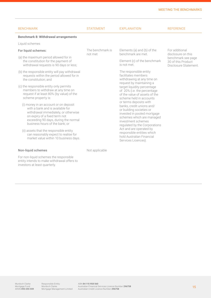#### MEETING THE BENCHMARKS

| <b>BENCHMARK</b>                                                                                                                                                                                                                                                                                                                                         | <b>STATEMENT</b>                                    | <b>EXPLANATION</b>                                                                                                                                                                                                                                                                                              | <b>REFERENCE</b>                                                  |  |
|----------------------------------------------------------------------------------------------------------------------------------------------------------------------------------------------------------------------------------------------------------------------------------------------------------------------------------------------------------|-----------------------------------------------------|-----------------------------------------------------------------------------------------------------------------------------------------------------------------------------------------------------------------------------------------------------------------------------------------------------------------|-------------------------------------------------------------------|--|
| <b>Benchmark 8: Withdrawal arrangements</b>                                                                                                                                                                                                                                                                                                              |                                                     |                                                                                                                                                                                                                                                                                                                 |                                                                   |  |
| Liquid schemes                                                                                                                                                                                                                                                                                                                                           |                                                     |                                                                                                                                                                                                                                                                                                                 |                                                                   |  |
| For liquid schemes:                                                                                                                                                                                                                                                                                                                                      | The benchmark is<br>not met                         | Elements (a) and (b) of the<br>benchmark are met                                                                                                                                                                                                                                                                | For additional<br>disclosure on this                              |  |
| (a) the maximum period allowed for in<br>the constitution for the payment of<br>withdrawal requests is 90 days or less;                                                                                                                                                                                                                                  |                                                     | Element (c) of the benchmark<br>is not met.                                                                                                                                                                                                                                                                     | benchmark see page<br>30 of this Product<br>Disclosure Statement. |  |
| (b) the responsible entity will pay withdrawal<br>requests within the period allowed for in<br>the constitution; and                                                                                                                                                                                                                                     |                                                     | The responsible entity<br>facilitates members<br>withdrawing at any time on                                                                                                                                                                                                                                     |                                                                   |  |
| (c) the responsible entity only permits<br>members to withdraw at any time on<br>request if at least 80% (by value) of the<br>scheme property is:                                                                                                                                                                                                        | request by maintaining a<br>scheme held in accounts | target liquidity percentage<br>of 20% (i.e. the percentage<br>of the value of assets of the                                                                                                                                                                                                                     |                                                                   |  |
| (i) money in an account or on deposit<br>with a bank and is available for<br>withdrawal immediately, or otherwise<br>on expiry of a fixed term not<br>exceeding 90 days, during the normal<br>business hours of the bank; or<br>(ii) assets that the responsible entity<br>can reasonably expect to realise for<br>market value within 10 business days. |                                                     | or terms deposits with<br>banks, credit unions and/<br>or building societies or<br>invested in pooled mortgage<br>schemes which are managed<br>investment schemes<br>regulated by the Corporations<br>Act and are operated by<br>responsible entities which<br>hold Australian Financial<br>Services Licences). |                                                                   |  |

#### Non-liquid schemes

For non-liquid schemes the responsible entity intends to make withdrawal offers to investors at least quarterly.

Not applicable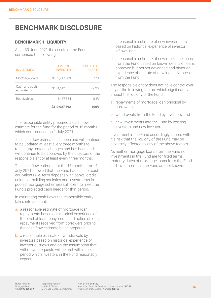# **BENCHMARK DISCLOSURE**

#### **BENCHMARK 1: LIQUIDITY**

As at 30 June 2021 the assets of the Fund comprised the following:

| <b>INVESTMENT</b>            | <b>AMOUNT</b><br><b>INVESTED</b> | % OF TOTAL<br><b>ASSETS</b> |
|------------------------------|----------------------------------|-----------------------------|
| Mortgage loans               | \$183,947,883                    | 577%                        |
| Cash and cash<br>equivalents | \$134,612,355                    | 42.2%                       |
| Receivables                  | \$467.354                        | 01%                         |
|                              | \$319,027,592                    | 100%                        |

The responsible entity prepared a cash flow estimate for the fund for the period of 15 months which commenced on 1 July 2021.

The cash flow estimate has been and will continue to be updated at least every three months to reflect any material changes and has been and will continue to be approved by the directors of the responsible entity at least every three months.

The cash flow estimate for the 15 months from 1 July 2021 showed that the Fund had cash or cash equivalents (i.e. term deposits with banks, credit unions or building societies and investments in pooled mortgage schemes) sufficient to meet the Fund's projected cash needs for that period.

In estimating cash flows the responsible entity takes into account:

- a. a reasonable estimate of mortgage loan repayments based on historical experience of the level of loan repayments and notice of loan repayments received from borrowers prior to the cash flow estimate being prepared;
- **b.** a reasonable estimate of withdrawals by investors based on historical experience of investor outflows and on the assumption that withdrawal requests will be met within the period which investors in the Fund reasonably expect;
- c. a reasonable estimate of new investments based on historical experience of investor inflows; and
- d. a reasonable estimate of new mortgage loans from the Fund based on known details of loans approved but not yet advanced and historical experience of the rate of new loan advances from the Fund.

The responsible entity does not have control over any of the following factors which significantly impact the liquidity of the Fund:

- a. repayments of mortgage loan principal by borrowers;
- b. withdrawals from the Fund by investors; and
- c. new investments into the Fund by existing investors and new investors.

Investment in the Fund accordingly carries with it a risk that the liquidity of the Fund may be adversely affected by any of the above factors.

As neither mortgage loans from the Fund nor investments in the Fund are for fixed terms, maturity dates of mortgage loans from the Fund and investments in the Fund are not known.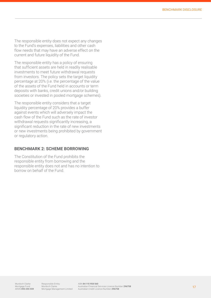The responsible entity does not expect any changes to the Fund's expenses, liabilities and other cash flow needs that may have an adverse effect on the current and future liquidity of the Fund.

The responsible entity has a policy of ensuring that sufficient assets are held in readily realisable investments to meet future withdrawal requests from investors. The policy sets the target liquidity percentage at 20% (i.e. the percentage of the value of the assets of the Fund held in accounts or term deposits with banks, credit unions and/or building societies or invested in pooled mortgage schemes).

The responsible entity considers that a target liquidity percentage of 20% provides a buffer against events which will adversely impact the cash flow of the Fund such as the rate of investor withdrawal requests significantly increasing, a significant reduction in the rate of new investments or new investments being prohibited by government or regulatory action.

#### **BENCHMARK 2: SCHEME BORROWING**

The Constitution of the Fund prohibits the responsible entity from borrowing and the responsible entity does not and has no intention to borrow on behalf of the Fund.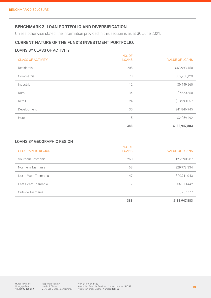#### **BENCHMARK 3: LOAN PORTFOLIO AND DIVERSIFICATION**

Unless otherwise stated, the information provided in this section is as at 30 June 2021.

#### **CURRENT NATURE OF THE FUND'S INVESTMENT PORTFOLIO.**

#### LOANS BY CLASS OF ACTIVITY

| <b>CLASS OF ACTIVITY</b> | NO. OF<br><b>LOANS</b> | <b>VALUE OF LOANS</b> |
|--------------------------|------------------------|-----------------------|
| Residential              | 205                    | \$63,993,450          |
| Commercial               | 73                     | \$39,988,129          |
| Industrial               | 12                     | \$9,449,260           |
| Rural                    | 34                     | \$7,620,550           |
| Retail                   | 24                     | \$18,990,057          |
| Development              | 35                     | \$41,846,945          |
| Hotels                   | 5                      | \$2,059,492           |
|                          | 388                    | \$183,947,883         |

#### LOANS BY GEOGRAPHIC REGION

|                          | 388                    | \$183,947,883         |
|--------------------------|------------------------|-----------------------|
| Outside Tasmania         | 1                      | \$957,777             |
| East Coast Tasmania      | 17                     | \$6,010,442           |
| North-West Tasmania      | 47                     | \$20,711,043          |
| Northern Tasmania        | 63                     | \$29,978,334          |
| Southern Tasmania        | 260                    | \$126,290,287         |
| <b>GEOGRAPHIC REGION</b> | NO. OF<br><b>LOANS</b> | <b>VALUE OF LOANS</b> |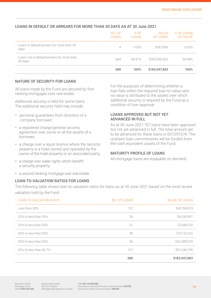|                                                       | NO. OF<br><b>LOANS</b> | % OF<br><b>LOANS</b> | <b>VALUE</b><br>OF LOANS | % OF LOANS<br><b>BY VALUE</b> |
|-------------------------------------------------------|------------------------|----------------------|--------------------------|-------------------------------|
| Loans in default/arrears for more than 30<br>days     | 4                      | 1.03%                | \$957,560                | 0.52%                         |
| Loans not in default/arrears for more than<br>30 days | 384                    | 98.97%               | \$182,990,323            | 99.48%                        |
|                                                       | 388                    | 100%                 | \$183,947,883            | 100%                          |

#### LOANS IN DEFAULT OR ARREARS FOR MORE THAN 30 DAYS AS AT 30 June 2021

#### NATURE OF SECURITY FOR LOANS

All loans made by the Fund are secured by first ranking mortgages over real estate.

Additional security is held for some loans. The additional security held may include:

- **personal quarantees from directors of a** company borrower;
- a registered charge/general security agreement over some or all the assets of a borrower;
- a charge over a liquor licence where the security property is a hotel owned and operated by the owner of the hotel property or an associated party;
- a charge over water rights which benefit a security property;
- a second ranking mortgage over real estate.

#### LOAN-TO-VALUATION RATIOS FOR LOANS

For the purposes of determining whether a loan falls within the required loan-to-value ratio no value is attributed to the assets over which additional security is required by the Fund as a condition of loan approval.

#### LOANS APPROVED BUT NOT YET ADVANCED IN FULL

As at 30 June 2021 107 loans have been approved but not yet advanced in full. The total amount yet to be advanced for these loans is \$57,097674. The undrawn loan commitments will be funded from the cash equivalent assets of the Fund.

#### MATURITY PROFILE OF LOANS

All mortgage loans are repayable on demand.

The following table shows loan-to-valuation ratios for loans as at 30 June 2021 based on the most recent valuation held by the Fund.

| <b>LOAN-TO-VALUATION RATIO</b> | NO. OF LOANS | <b>VALUE OF LOANS</b> |
|--------------------------------|--------------|-----------------------|
| Less than 20%                  | 112          | \$42,768,813          |
| 20% to less than 30%           | 24           | \$4,530,501           |
| 30% to less than 40%           | 31           | \$7,680,102           |
| 40% to less than 50%           | 38           | \$15,132,102          |
| 50% to less than 60%           | 56           | \$22,489,570          |
| 60% to less than 66.7%         | 127          | \$91,346,795          |
|                                | 388          | \$183,947,883         |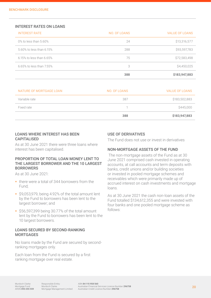#### INTEREST RATES ON LOANS

| <b>INTEREST RATE</b>           | NO. OF LOANS | <b>VALUE OF LOANS</b> |
|--------------------------------|--------------|-----------------------|
| 0% to less than 5.60%          | 24           | \$13,316,577          |
| 5.60% to less than 6.15%       | 288          | \$93,597,783          |
| $6.15\%$ to less than $6.65\%$ | 75           | \$72,583,498          |
| 6.65% to less than 7.55%       | 3            | \$4,450,025           |
|                                | 388          | \$183,947,883         |

| NATURE OF MORTGAGE LOAN | NO. OF LOANS | <b>VALUE OF LOANS</b> |
|-------------------------|--------------|-----------------------|
| Variable rate           | 387          | \$183,502,883         |
| Fixed rate              |              | \$445,000             |
|                         | 388          | \$183,947,883         |

#### LOANS WHERE INTEREST HAS BEEN CAPITALISED

As at 30 June 2021 there were three loans where interest has been capitalised.

#### PROPORTION OF TOTAL LOAN MONEY LENT TO THE LARGEST BORROWER AND THE 10 LARGEST **BORROWERS**

As at 30 June 2021:

- there were a total of 344 borrowers from the Fund;
- \$9,053,979, being 4.92% of the total amount lent by the Fund to borrowers has been lent to the largest borrower; and
- $\frac{1}{556,597,399}$  being 30.77% of the total amount lent by the Fund to borrowers has been lent to the 10 largest borrowers.

#### LOANS SECURED BY SECOND-RANKING **MORTGAGES**

No loans made by the Fund are secured by secondranking mortgages only.

Each loan from the Fund is secured by a first ranking mortgage over real estate.

#### USE OF DERIVATIVES

The Fund does not use or invest in derivatives

#### NON-MORTGAGE ASSETS OF THE FUND

 The non-mortgage assets of the Fund as at 30 June 2021 comprised cash invested in operating accounts, at call accounts and term deposits with banks, credit unions and/or building societies or invested in pooled mortgage schemes and receivables which were primarily made up of accrued interest on cash investments and mortgage loans.

As at 30 June 2021 the cash non-loan assets of the Fund totalled \$134,612,355 and were invested with four banks and one pooled mortgage scheme as follows: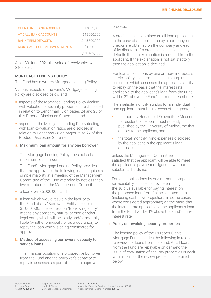| <b>OPERATING BANK ACCOUNT</b>      | \$3,112,355   |
|------------------------------------|---------------|
| AT CALL BANK ACCOUNTS              | \$15,000,000  |
| <b>BANK TERM DEPOSITS</b>          | \$115,500,000 |
| <b>MORTGAGE SCHEME INVESTMENTS</b> | \$1,000,000   |
|                                    | \$134,612,355 |

As at 30 June 2021 the value of receivables was \$467,354.

#### MORTGAGE LENDING POLICY

The Fund has a written Mortgage Lending Policy.

Various aspects of the Fund's Mortgage Lending Policy are disclosed below and

- **aspects of the Mortgage Lending Policy dealing** with valuation of security properties are disclosed in relation to Benchmark 5 on pages 24 and 25 of this Product Disclosure Statement; and
- **a** aspects of the Mortgage Lending Policy dealing with loan-to-valuation ratios are disclosed in relation to Benchmark 6 on pages 25 to 27 of this Product Disclosure Statement.

#### a. Maximum loan amount for any one borrower

The Mortgage Lending Policy does not set a maximum loan amount.

The Fund's Mortgage Lending Policy provides that the approval of the following loans requires a simple majority at a meeting of the Management Committee of the Fund attended by not less than five members of the Management Committee:

- a loan over \$5,000,000; and
- a loan which would result in the liability to the Fund of any "Borrowing Entity" exceeding \$5,000,000. The expression "Borrowing Entity" means any company, natural person or other legal entity which will be jointly and/or severally liable (whether principally or as a guarantor) to repay the loan which is being considered for approval.

#### b. Method of assessing borrowers' capacity to service loans

The financial position of a prospective borrower from the Fund and the borrower's capacity to repay is assessed as part of the loan approval

#### process.

A credit check is obtained on all loan applicants. In the case of an application by a company, credit checks are obtained on the company and each of its directors. If a credit check discloses any defaults then an explanation is required from the applicant. If the explanation is not satisfactory then the application is declined.

For loan applications by one or more individuals serviceability is determined using a surplus calculator which assesses the applicant's ability to repay on the basis that the interest rate applicable to the applicant's loan from the Fund will be 2% above the Fund's current interest rate.

The available monthly surplus for an individual loan applicant must be in excess of the greater of:

- the monthly Household Expenditure Measure for residents of Hobart most recently published by the University of Melbourne that applies to the applicant; and
- the total monthly living expenses disclosed by the applicant in the applicant's loan application

unless the Management Committee is satisfied that the applicant will be able to meet the applicant's payment obligations without substantial hardship.

For loan applications by one or more companies serviceability is assessed by determining the surplus available for paying interest on the proposed loan from financial statements (including cash flow projections in some cases where considered appropriate) on the basis that the interest rate applicable to the applicant's loan from the Fund will be 1% above the Fund's current interest rate.

#### c. Policy on revaluing security properties

The lending policy of the Murdoch Clarke Mortgage Fund includes the following in relation to reviews of loans from the Fund. As all loans from the Fund are repayable on demand the issue of revaluation of security properties is dealt with as part of the review process as detailed below.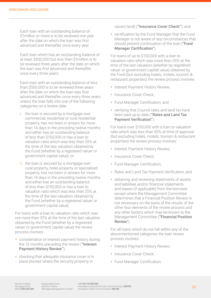Each loan with an outstanding balance of \$1million or more is to be reviewed one year after the date on which the loan was first advanced and thereafter once every year.

Each loan which has an outstanding balance of at least \$500,000 but less than \$1million is to be reviewed three years after the date on which the loan was first advanced and thereafter once every three years.

Each loan with an outstanding balance of less than \$500,000 is to be reviewed three years after the date on which the loan was first advanced and thereafter once every three years unless the loan falls into one of the following categories on a review date:

- i. the loan is secured by a mortgage over commercial, residential or rural residential property, has not been in arrears for more than 14 days in the preceding twelve months and either has an outstanding balance of less than \$150,000 or has a loan to valuation ratio which was less than 35% at the time of the last valuation obtained by the Fund (whether by a registered valuer or government capital value); or
- ii. the loan is secured by a mortgage over rural property, hotel property or specialised property, has not been in arrears for more than 14 days in the preceding twelve months and either has an outstanding balance of less than \$150,000 or has a loan to valuation ratio which was less than 25% at the time of the last valuation obtained by the Fund (whether by a registered valuer or government capital value).

For loans with a loan to valuation ratio which was not more than 35% at the time of the last valuation obtained by the Fund (whether by a registered valuer or government capital value) the review process involves:

- **Consideration of interest payment history during** the 12 months preceding the review ("Interest Payment History Review");
- **•** checking that adequate insurance cover is in place (except where the security property is

vacant land) ("Insurance Cover Check"); and

**Exercification by the Fund Manager that the Fund** Manager is not aware of any circumstances that should prevent continuation of the loan ("Fund Manager Certification").

For loans of up to \$150,000 with a loan to valuation ratio which was more than 35% at the time of the last valuation (whether by registered valuer or government capital value) obtained by the Fund (but excluding hotels, motels, tourism & restaurant properties) the review process involves:

- **Interest Payment History Review;**
- **Insurance Cover Check;**
- **Fund Manager Certification; and**
- verifying that Council rates and land tax have been paid up to date ("Rates and Land Tax Payment Verification").

For loans over \$150,000 with a loan to valuation ratio which was less than 50% at time of approval (but excluding hotels, motels, tourism & restaurant properties) the review process involves:

- **Interest Payment History Review;**
- **Insurance Cover Check;**
- Fund Manager Certification;
- Rates and Land Tax Payment Verification; and
- obtaining and reviewing statements of assets and liabilities and/or financial statements and leases (if applicable) from the borrower except where the Management Committee determines that a Financial Position Review is not necessary on the basis of the results of the other four elements of the review process and any other factors which may be known to the Management Committee ("Financial Position Review").

For all loans which do not fall within any of the abovementioned categories the loan review process involves:

- **Interest Payment History Review;**
- **Insurance Cover Check:**
- **Fund Manager Certification:**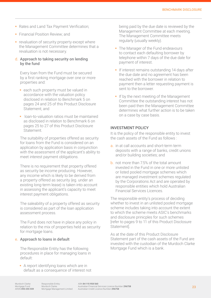- Rates and Land Tax Payment Verification;
- **Financial Position Review; and**
- $\blacksquare$  revaluation of security property except where the Management Committee determines that a revaluation is not necessary.

#### d. Approach to taking security on lending by the fund

Every loan from the Fund must be secured by a first ranking mortgage over one or more properties and:

- **e** each such property must be valued in accordance with the valuation policy disclosed in relation to Benchmark 5 on pages 24 and 25 of this Product Disclosure Statement; and
- **I** loan-to-valuation ratios must be maintained as disclosed in relation to Benchmark 6 on pages 25 to 27 of this Product Disclosure **Statement**

The suitability of properties offered as security for loans from the Fund is considered on an application by application basis in conjunction with the assessment of the applicant's ability to meet interest payment obligations.

There is no requirement that property offered as security be income producing. However, any income which is likely to be derived from a property offered as security (eg. under an existing long-term lease) is taken into account in assessing the applicant's capacity to meet interest payment obligations.

The saleability of a property offered as security is considered as part of the loan application assessment process.

The Fund does not have in place any policy in relation to the mix of properties held as security for mortgage loans.

#### e. Approach to loans in default

The Responsible Entity has the following procedures in place for managing loans in default:

A report identifying loans which are in default as a consequence of interest not being paid by the due date is reviewed by the Management Committee at each meeting. The Management Committee meets regularly (usually weekly).

- The Manager of the Fund endeavours to contact each defaulting borrower by telephone within 7 days of the due date for payment of interest.
- **If interest remains outstanding 14 days after** the due date and no agreement has been reached with the borrower in relation to payment then a letter requesting payment is sent to the borrower.
- If by the next meeting of the Management Committee the outstanding interest has not been paid then the Management Committee determines what further action is to be taken on a case by case basis.

#### INVESTMENT POLICY

It is the policy of the responsible entity to invest the cash assets of the Fund as follows :

- a. in at call accounts and short-term term deposits with a range of banks, credit unions and/or building societies; and
- b. not more than 7.5% of the total amount invested in the Fund in one or more unlisted or listed pooled mortgage schemes which are managed investment schemes regulated by the Corporations Act and are operated by responsible entities which hold Australian Financial Services Licences.

The responsible entity's process of deciding whether to invest in an unlisted pooled mortgage scheme includes taking into account the extent to which the scheme meets ASIC's benchmarks and disclosure prinicples for such schemes [refer to pages 9 to 11 of this Product Disclosure Statement].

As at the date of this Product Disclosure Statement part of the cash assets of the Fund are invested with the custodian of the Murdoch Clarke Mortgage Fund which is a bank.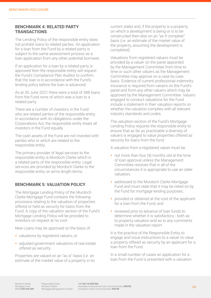#### **BENCHMARK 4: RELATED PARTY TRANSACTIONS**

The Lending Policy of the responsible entity does not prohibit loans to related parties. An application for a loan from the Fund by a related party is subject to the same assessment process as a loan application from any other potential borrower.

If an application for a loan by a related party is approved then the responsible entity will request the Fund's Compliance Plan Auditor to confirm that the loan is in accordance with the Fund's lending policy before the loan is advanced.

As at 30 June 2021 there were a total of 388 loans from the Fund none of which was a loan to a related party.

There are a number of investors in the Fund who are related parties of the responsible entity. In accordance with its obligations under the Corporations Act, the responsible entity treats all investors in the Fund equally.

The cash assets of the Fund are not invested with parties who or which are related to the responsible entity.

The primary provider of legal services to the responsible entity is Murdoch Clarke which is a related party of the responsible entity. Legal services are provided by Murdoch Clarke to the responsible entity on arms length terms.

#### **BENCHMARK 5: VALUATION POLICY**

The Mortgage Lending Policy of the Murdoch Clarke Mortgage Fund contains the following provisions relating to the valuation of properties offered or held as security for loans from the Fund. A copy of the valuation section of the Fund's Mortgage Lending Policy will be provided to investors on request at no cost.

New Loans may be approved on the basis of:

- valuations by registered valuers; or
- **adjusted government valuations of real estate** offered as security.

Properties are valued on an "as is" basis (i.e. an estimate of the market value of a property in its current state) and, if the property is a property on which a development is being or is to be constructed then also on an "as if complete" basis (i.e. an estimate of the market value of the property, assuming the development is completed).

Valuations from registered valuers must be provided by a valuer on the panel appointed by the Management Committee from time to time or such other valuers as the Management Committee may approve on a case by case basis. Evidence of current professional indemnity insurance is required from valuers on the Fund's panel and from any other valuers which may be approved by the Management Committee. Valuers engaged to conduct valuations for the Fund include a statement in their valuation reports on whether the valuation complies with all relevant industry standards and codes.

The valuation section of the Fund's Mortgage Lending Policy requires the responsible entity to ensure that as far as practicable a diversity of valuers is engaged to value properties offered as security for loans from the fund.

A valuation from a registered valuer must be:

- $\blacksquare$  not more than four (4) months old at the time of loan approval unless the Management Committee resolves that in all of the circumstances it is appropriate to use an older valuation;
- **addressed to the Murdoch Clarke Mortgage** Fund and must state that it may be relied on by the Fund for mortgage lending purposes;
- provided or obtained at the cost of the applicant for a loan from the Fund; and
- **r** reviewed prior to advance of loan funds to determine whether it is satisfactory - both as to property valuation and as to any comments made in the valuation report.

It is the practice of the Responsible Entity to engage and issue instructions to a valuer to value a property offered as security by an applicant for a loan from the Fund.

In a small number of cases an application for a loan from the Fund is presented with a valuation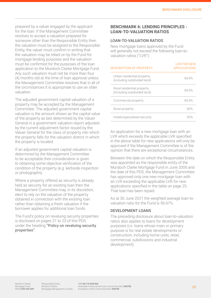prepared by a valuer engaged by the applicant for the loan. If the Management Committee resolves to accept a valuation prepared for someone other than the Responsible Entity then the valuation must be assigned to the Responsible Entity, the valuer must confirm in writing that the valuation may be relied on by the Fund for mortgage lending purposes and the valuation must be confirmed for the purposes of the loan application to the Murdoch Clarke Mortgage Fund. Any such valuation must not be more than four (4) months old at the time of loan approval unless the Management Committee resolves that in all of the circmstances it is appropriate to use an older valuation.

The adjusted government capital valuation of a property may be accepted by the Management Committee. The adjusted government capital valuation is the amount shown as the capital value of the property as last determined by the Valuer General in a government valuation report adjusted by the current adjustment factor issued by the Valuer General for the class of property into which the property falls for the valuation district in which the property is located.

If an adjusted government capital valuation is determined by the Management Committee to be acceptable then consideration is given to obtaining some objective verification of the condition of the property (e.g. kerbside inspection or photographs).

Where a property offered as security is already held as security for an existing loan then the Management Committee may, in its discretion, elect to rely on the valuation of the property obtained in connection with the existing loan rather than obtaining a fresh valuation if the borrower applies for additional loan funds.

The Fund's policy on revaluing security properties is disclosed on pages 21 to 23 of this PDS under the heading "Policy on revaluing security properties".

#### **BENCHMARK 6: LENDING PRINCIPLES - LOAN-TO-VALUATION RATIOS**

#### LOAN-TO-VALUATION RATIOS

New mortgage loans approved by the Fund will generally not exceed the following loan-tovaluation ratios ("LVR"):

| DESCRIPTION OF PROPERTY                                   | <b>LVR FOR NEW</b><br><b>APPLICATIONS</b> |
|-----------------------------------------------------------|-------------------------------------------|
| Urban residential property<br>(including subdivided land) | 66.6%                                     |
| Rural residential property<br>(including subdivided land) | 66.6%                                     |
| Commercial property                                       | 66.6%                                     |
| Rural property                                            | 60%                                       |
| Hotels/specialised security                               | 50%                                       |

An application for a new mortgage loan with an LVR which exceeds the applicable LVR specified in the above table for new applications will only be approved if the Management Committee is of the opinion that there are exceptional circumstances.

Between the date on which the Responsible Entity was appointed as the responsible entity of the Murdoch Clarke Mortgage Fund in June 2006 and the date of this PDS, the Management Committee has approved only one new mortgage loan with an LVR exceeding the applicable LVR for new applications specified in the table on page 25. That loan has been repaid.

As at 30 June 2021 the weighted average loan-tovaluation ratio for the Fund is 56.67%.

#### DEVELOPMENT LOANS

The preceding disclosure about loan-to-valuation ratios also applies to loans for development purposes (i.e. loans whose main or primary purpose is for real estate developments or construction, including home units, retail, commercial, subdivisions and industrial development).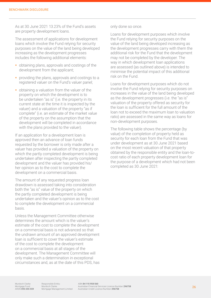As at 30 June 2021 13.23% of the Fund's assets are property development loans.

The assessment of applications for development loans which involve the Fund relying for security purposes on the value of the land being developed increasing as the development progresses includes the following additional elements:

- obtaining plans, approvals and costings of the development from the applicant;
- **providing the plans, approvals and costings to a** registered valuer on the Fund's valuer panel;
- **•** obtaining a valuation from the valuer of the property on which the development is to be undertaken "as is" (i.e. the property in its current state at the time it is inspected by the valuer) and a valuation of the property "as if complete" (i.e. an estimate of the market value of the property on the assumption that the development will be completed in accordance with the plans provided to the valuer).

If an application for a development loan is approved then an advance of loan funds requested by the borrower is only made after a valuer has provided a valuation of the property on which the partly completed development is being undertaken after inspecting the partly completed development and the valuer has provided his/ her opinion as to the cost to complete the development on a commercial basis.

The amount of any requested progress loan drawdown is assessed taking into consideration both the "as is" value of the property on which the partly completed development is being undertaken and the valuer's opinion as to the cost to complete the development on a commercial basis.

Unless the Management Committee otherwise determines the amount which is the valuer's estimate of the cost to complete the development on a commercial basis is not advanced so that the undrawn amount of an approved development loan is sufficient to cover the valuer's estimate of the cost to complete the development on a commercial basis at all stages of the development. The Management Committee will only make such a determination in exceptional circumstances and, as at the date of this PDS, has only done so once.

Loans for development purposes which involve the Fund relying for security purposes on the value of the land being developed increasing as the development progresses carry with them the additional risk for the Fund that the development may not be completed by the developer. The way in which development loan applications are assessed (as outlined above) is intended to minimise the potential impact of this additional risk on the Fund.

Loans for development purposes which do not involve the Fund relying for security purposes on increases in the value of the land being developed as the development progresses (i.e. the "as is" valuation of the property offered as security for the loan is sufficient for the full amount of the loan not to exceed the maximum loan to valuation ratio) are assessed in the same way as loans for non-development purposes.

The following table shows the percentage (by value) of the completion of property held as security for each loan from the Fund that was under development as at 30 June 2021 based on the most recent valuation of that property obtained by the responsible entity and the loan-tocost ratio of each property development loan for the purpose of a development which had not been completed as 30 June 2021: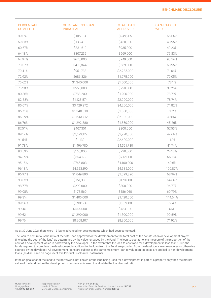| <b>PERCENTAGE</b><br><b>COMPLETE</b> | <b>OUTSTANDING LOAN</b><br><b>PRINCIPAL</b> | <b>TOTAL LOAN</b><br><b>APPROVED</b> | LOAN-TO-COST<br><b>RATIO</b> |
|--------------------------------------|---------------------------------------------|--------------------------------------|------------------------------|
| 39.3%                                | \$105,184                                   | \$949,905                            | 65.06%                       |
| 59.33%                               | \$138,418                                   | \$450,000                            | 43.95%                       |
| 60.67%                               | \$331,612                                   | \$935,000                            | 49.23%                       |
| 64.18%                               | \$307,235                                   | \$669,000                            | 75.83%                       |
| 67.02%                               | \$620,000                                   | \$949,000                            | 93.36%                       |
| 70.37%                               | \$413,844                                   | \$569,000                            | 68.95%                       |
| 70.41%                               | \$951,738                                   | \$2,285,000                          | 71.04%                       |
| 72.92%                               | \$686,326                                   | \$1,275,000                          | 79.05%                       |
| 75.62%                               | \$1,340,000                                 | \$1,500,000                          | 73.1%                        |
| 76.28%                               | \$565,000                                   | \$750,000                            | 97.25%                       |
| 80.36%                               | \$788,200                                   | \$1,200,000                          | 78.79%                       |
| 82.83%                               | \$1,128,574                                 | \$2,000,000                          | 78.74%                       |
| 85.07%                               | \$3,429,272                                 | \$4,200,000                          | 74.82%                       |
| 85.71%                               | \$1,340,810                                 | \$1,360,000                          | 71.2%                        |
| 86.29%                               | \$1,643,712                                 | \$2,000,000                          | 49.66%                       |
| 86.76%                               | \$1,292,380                                 | \$1,550,000                          | 45.26%                       |
| 87.51%                               | \$407,351                                   | \$800,000                            | 57.53%                       |
| 89.17%                               | \$2,679,129                                 | \$2,970,000                          | 42.66%                       |
| 91.54%                               | \$1,139                                     | \$2,600,000                          | 11.9%                        |
| 91.78%                               | \$1,496,780                                 | \$1,551,780                          | 41.74%                       |
| 93.89%                               | \$165,000                                   | \$220,000                            | 24.18%                       |
| 94.39%                               | \$654,179                                   | \$712,000                            | 66.18%                       |
| 95.15%                               | \$765,803                                   | \$1,100,000                          | 40.6%                        |
| 96.18%                               | \$4,523,190                                 | \$4,585,000                          | 109.87%                      |
| 96.97%                               | \$1,049,890                                 | \$1,099,890                          | 68.96%                       |
| 98.03%                               | \$151,330                                   | \$170,000                            | 64.86%                       |
| 98.77%                               | \$290,000                                   | \$300,000                            | 96.77%                       |
| 99.08%                               | \$178,560                                   | \$186,060                            | 60.79%                       |
| 99.3%                                | \$1,405,000                                 | \$1,420,000                          | 114.64%                      |
| 99.36%                               | \$590,194                                   | \$607,000                            | 79.4%                        |
| 99.45                                | \$444,000                                   | \$454,000                            | 56%                          |
| 99.62                                | \$1,290,000                                 | \$1,300,000                          | 90.59%                       |
| 99.76                                | \$8,208,107                                 | \$8,900,000                          | 71.92%                       |

As at 30 June 2021 there were 12 loans advanced for developments which had been completed.

The loan-to-cost ratio is the ratio of the total loan approved for the development to the total cost of the construction or development project (including the cost of the land) as determined by the valuer engaged by the Fund. The loan-to-cost ratio is a measure of the proportion of the cost of a development which is borrowed by the developer. To the extent that the loan-to-cost ratio for a development is less than 100%, the funds required to complete the development in addition to the loan from the Fund are provided from the developer's own resources or otherwise sourced by the developer. All development loans are subject to the same maximum loan-to-valuation ratios as are applied to non-development loans (as discussed on page 25 of this Product Disclosure Statement).

If the original cost of the land to the borrower is not known or the land being used for a development is part of a property only then the market value of the land before the development commences is used to calculate the loan-to-cost ratio.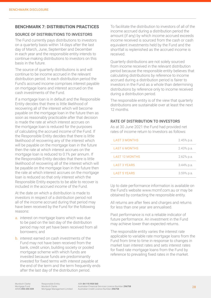#### **BENCHMARK 7: DISTRIBUTION PRACTICES**

#### SOURCE OF DISTRIBUTIONS TO INVESTORS

The Fund currently pays distributions to investors on a quarterly basis within 14 days after the last day of March, June, September and December in each year and the responsible entity intends to continue making distributions to investors on this basis in the future.

The source of quarterly distributions is and will continue to be income accrued in the relevant distribution period. In each distribution period the Fund's accrued income comprises interest payable on mortgage loans and interest accrued on the cash investments of the Fund.

If a mortgage loan is in default and the Responsible Entity decides that there is little likelihood of recovering all of the interest which will become payable on the mortgage loan in the future then as soon as reasonably practicable after that decision is made the rate at which interest accrues on the mortgage loan is reduced for the purposes of calculating the accrued income of the Fund. If the Responsible Entity decides that there is little likelihood of recovering any of the interest which will be payable on the mortgage loan in the future then the rate at which interest accrues on the mortgage loan is reduced to 0.1% per annum. If the Responsible Entity decides that there is little likelihood of recovering all of the interest which will be payable on the mortgage loan in the future then the rate at which interest accrues on the mortgage loan is reduced so that only interest which the Responsible Entity expects to be able to recover is included in the accrued income of the Fund.

At the date on which a distribution is made to investors in respect of a distribution period not all of the income accrued during that period may have been received by the Fund for the following reasons:

- a. interest on mortgage loans which was due to be paid on the last day of the distribution period may not yet have been received from all borrowers; and
- b. interest earned on cash investments of the Fund may not have been received from the bank, credit union, building society or pooled mortgage scheme with which funds are invested because funds are predominantly invested for fixed terms with interest payable at the end of the term and the term frequently ends after the last day of the distribution period.

To facilitate the distribution to investors of all of the income accrued during a distribution period the amount (if any) by which income accrued exceeds income received is sourced from the cash or cash equivalent investments held by the Fund and the shortfall is replenished as the accrued income is received.

Quarterly distributions are not solely sourced from income received in the relevant distribution period because the responsible entity believes that calculating distributions by reference to income accrued during a distribution period is fairer to investors in the Fund as a whole than determining distributions by reference only to income received during a distribution period.

The responsible entity is of the view that quarterly distributions are sustainable over at least the next 12 months.

#### RATE OF DISTRIBUTION TO INVESTORS

As at 30 June 2021 the Fund had provided net rates of income return to Investors as follows:

| LAST 3 MONTHS        | 2.45% p.a.    |
|----------------------|---------------|
| <b>LAST 6 MONTHS</b> | 2.43% p.a.    |
| LAST 12 MONTHS       | 2.62% p.a.    |
| <b>LAST 3 YEARS</b>  | $3.44\%$ p.a. |
| LAST 5 YFARS         | 3.59% p.a.    |

Up to date performance information is available on the Fund's website www.mcmf.com.au or may be obtained by contacting the responsible entity.

All returns are after fees and charges and returns for less than one year are annualised.

Past performance is not a reliable indicator of future performance. An investment in the Fund may achieve lower than expected returns.

The responsible entity varies the interest rate applicable to variable rate mortgage loans from the Fund from time to time in response to changes in market loan interest rates and sets interest rates for fixed rate mortgage loans from the Fund by reference to prevailing fixed rates in the market.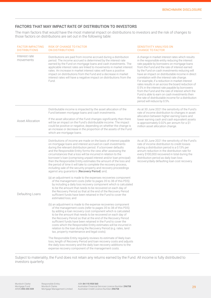#### FACTORS THAT MAY IMPACT RATE OF DISTRIBUTION TO INVESTORS

The main factors that would have the most material impact on distributions to investors and the risk of changes to those factors on distributions are set out in the following table:

| <b>FACTOR IMPACTING</b><br><b>DISTRIBUTIONS</b> | <b>RISK OF CHANGE TO FACTOR</b><br><b>ON DISTRIBUTIONS</b>                                                                                                                                                                                                                                                                                                                                                                                                                                                                                                                                                                                                               | <b>SENSITIVITY ANALYSIS ON</b><br><b>CHANGE TO FACTOR</b>                                                                                                                                                                                                                                                                                                                                                                                                                                                                                                                                                                                                                                                 |
|-------------------------------------------------|--------------------------------------------------------------------------------------------------------------------------------------------------------------------------------------------------------------------------------------------------------------------------------------------------------------------------------------------------------------------------------------------------------------------------------------------------------------------------------------------------------------------------------------------------------------------------------------------------------------------------------------------------------------------------|-----------------------------------------------------------------------------------------------------------------------------------------------------------------------------------------------------------------------------------------------------------------------------------------------------------------------------------------------------------------------------------------------------------------------------------------------------------------------------------------------------------------------------------------------------------------------------------------------------------------------------------------------------------------------------------------------------------|
| Interest rate<br>movements                      | Distributions are paid from income accrued during a distribution<br>period. The income accrued is determined by the interest rate<br>earned by the Fund on mortgage loans and cash investments. The<br>applicable interest rates are linked to movements in market interest<br>rates. An increase in market interest rates will have a positive<br>impact on distributions from the Fund and a decrease in market<br>interest rates will have a negative impact on distributions from the<br>Fund.                                                                                                                                                                       | A change in market interest rates which results<br>in the responsible entity reducing the interest<br>rate payable by borrowers on mortgage loans<br>from the Fund and the rate of interest earned<br>by the Fund on cash investments reducing will<br>have an impact on distributable income in direct<br>correlation with the interest rate change.<br>For example, if a reduction in market interest<br>rates results in an across the board reduction of<br>0.5% in the interest rate payable by borrowers<br>from the Fund and the rate of interest which the<br>Fund is able to earn on cash investments then<br>the rate of distributable income for a distribution<br>period will reduce by 0.5%. |
| <b>Asset Allocation</b>                         | Distributable income is impacted by the asset allocation of the<br>Fund between mortgage loans and cash investments.<br>If the asset allocation of the Fund changes significantly then there<br>will be an impact on the Fund's distributable income. The impact<br>could be positive or negative, depending on whether the change is<br>an increase or decrease in the proportion of the assets of the Fund<br>which are mortgage loans.                                                                                                                                                                                                                                | As at 30 June 2021 the sensitivity of the Fund's<br>rate of income distribution to changes in asset<br>allocation between higher earning loans and<br>lower earning cash and cash equivalent assets<br>is approximately 0.02% per annum for a \$1<br>million asset allocation change.                                                                                                                                                                                                                                                                                                                                                                                                                     |
|                                                 | Distributions of income are made on the basis of interest payable<br>on mortgage loans and interest accrued on cash investments<br>during the relevant distribution period. If a borrower defaults<br>and the Responsible Entity forms the view after assessing the<br>circumstances that a loss will be incurred in relation to the<br>borrower's loan (comprising unpaid interest and/or loan principal)<br>then the Responsible Entity estimates the amount of the loss and<br>the period of time it will take to complete the recovery process,<br>including sale of the security property and recovery proceedings<br>against any guarantors (Recovery Period) and; | As at 30 June 2021 the sensitivity of the Fund's<br>rate of income distribution to credit losses<br>during a distribution period is a 0.13% per<br>annum reduction in the distribution rate for<br>every \$100,000 recovered in total during the<br>distribution period as daily loan loss<br>recovery/daily defaulting loan cost recovery.                                                                                                                                                                                                                                                                                                                                                               |
| Defaulting Loans                                | (a) an adjustment is made to the expenses recoveries component<br>of the management costs (refer to pages 35 to 38 of this PDS)<br>by including a daily loss recovery component which is calculated<br>to be the amount that needs to be recovered on each day of<br>the Recovery Period so that at the end of the Recovery Period<br>sufficient funds have been retained in the Fund to cover the<br>estimated loss; and                                                                                                                                                                                                                                                |                                                                                                                                                                                                                                                                                                                                                                                                                                                                                                                                                                                                                                                                                                           |
|                                                 | (b) an adjustment is made to the expense recoveries component<br>of the management costs (refer to pages 35 to 38 of this PDS)<br>by adding a loan recovery cost component which is calculated<br>to be the amount that needs to be recovered on each day of<br>the Recovery Period so that at the end of the Recovery Period<br>sufficient funds have been retained in the Fund to cover the<br>costs which the Responsible Entity estimates will be incurred in<br>relation to the loan during the Recovery Period (e.g. rates, land<br>tax, property maintenance and legal costs).                                                                                    |                                                                                                                                                                                                                                                                                                                                                                                                                                                                                                                                                                                                                                                                                                           |
|                                                 | The Responsible Entity regularly reviews its estimate of likely loan<br>loss, length of Recovery Period and loan recovery costs and adjusts<br>the daily loss recovery and the daily loan recovery additions to the<br>expense recovery component of the management costs.                                                                                                                                                                                                                                                                                                                                                                                               |                                                                                                                                                                                                                                                                                                                                                                                                                                                                                                                                                                                                                                                                                                           |

Subject to materiality, the Fund does not retain any returns earned by the Fund. All income is fully distributed to investors quarterly.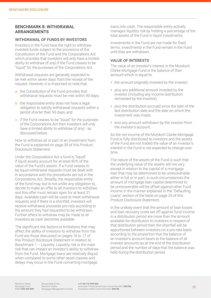#### **BENCHMARK 8: WITHDRAWAL ARRANGEMENTS**

#### WITHDRAWAL OF FUNDS BY INVESTORS

Investors in the Fund have the right to withdraw invested funds subject to the provisions of the Constitution of the Fund and the Corporations Act which provides that investors will only have a limited ability to withdraw (if any) if the Fund ceases to be "liquid" for the purposes of the Corporations Act.

Withdrawal requests are generally expected to be met within seven days from the receipt of the request. However, it is important to note that:

- a. the Constitution of the Fund provides that withdrawal requests must be met within 90 days;
- b. the responsible entity does not have a legal obligation to satisfy withdrawal requests within a period shorter than 90 days; and
- c. if the Fund ceases to be "liquid" for the purposes of the Corporations Act then investors will only have a limited ability to withdraw (if any) - as discussed below.

How to withdraw all or part of an investment from the Fund is explained on page 39 of this Product Disclosure Statement.

Under the Corporations Act a fund is "liquid" if liquid assets account for at least 80% of the value of the Fund's assets. If a Fund ceases to be liquid withdrawal requests must be dealt with in accordance with the procedures set out in the Corporations Act. Broadly, the responsible entity of the fund may, but is not under any obligation to, decide to make an offer to all investors to withdraw and this offer must remain open for at least 21 days. Available cash will be used to meet withdrawal requests and if there is a shortfall, investors will receive withdrawal proceeds pro rata according to the amount they had requested to be withdrawn. Further offers to withdraw may be made to all investors as cash becomes available.

The significant risk factors or limitations that may affect the ability of investors to withdraw from the Fund are those discussed on pages 16 to 17 of this Product Disclosure Statement in relation to Benchmark  $1 -$  Liquidity. Liquidity risk is the main risk that can impact an investor's ability to withdraw from the Fund. Mortgage loans are relatively illiquid when compared to some other asset classes and delays may occur in the Fund converting mortgage

loans into cash. The responsible entity actively manages liquidity risk by holding a percentage of the total assets of the Fund in liquid investments.

Investments in the Fund are not made for fixed terms. Investments in the Fund remain in the Fund until they are withdrawn.

#### VALUE OF INTERESTS

The value of an investor's interest in the Murdoch Clarke Mortgage Fund is the balance of their account which is equal to:

- $\blacksquare$  the amount originally invested by the investor;
- **plus any additional amount invested by the** investor (including any income distribution reinvested by the investor);
- **p** plus the distribution accrued since the later of the last distribution date and the date on which the investment was made;
- **E** less any amount withdrawn by the investor from the investor's account.

As the net income of the Murdoch Clarke Mortgage Fund is fully distributed to investors and the assets of the Fund are not traded the value of an investor's interest in the Fund is not expected to change over time.

The nature of the assets of the Fund is such that the underlying value of the assets will not vary except in relation to the capital of a mortgage loan that may be determined to be unrecoverable either in full or in part. In such circumstances the amount of mortgage loan capital determined to be unrecoverable will be offset against other Fund income in the manner explained in the "Defaulting Loans" section of the table on page 29 of this Product Disclosure Statement.

In the unlikely event that the amount of loan losses and loan recovery costs set off against fund income in a distribution period are more than the amount available for distribution to investors in respect of that distribution period then the shortfall will be apportioned between investors on a pro rata basis according to the proportion that the balance of an investor's account bears to the balance of all investor accounts as at the end of the distribution period and the number of days that the balance was held during the distribution period.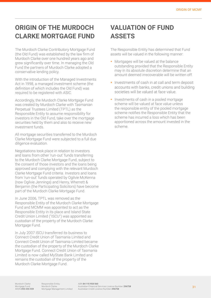# **ORIGIN OF THE MURDOCH CLARKE MORTGAGE FUND**

The Murdoch Clarke Contributory Mortgage Fund (the Old Fund) was established by the law firm of Murdoch Clarke over one hundred years ago and grew significantly over time. In managing the Old Fund the partners of Murdoch Clarke adopted a conservative lending policy.

With the introduction of the Managed Investments Act in 1998, a managed investment scheme (the definition of which includes the Old Fund) was required to be registered with ASIC.

Accordingly, the Murdoch Clarke Mortgage Fund was created by Murdoch Clarke with Tasmanian Perpetual Trustees Limited (TPTL) as the Responsible Entity to assume responsibility for investors in the Old Fund, take over the mortgage securities held by them and also to receive new investment funds.

All mortgage securities transferred to the Murdoch Clarke Mortgage Fund were subjected to a full due diligence evaluation.

Negotiations took place in relation to investors and loans from other 'run-out' funds transferring to the Murdoch Clarke Mortgage Fund, subject to the consent of those investors and the loans being approved and complying with the relevant Murdoch Clarke Mortgage Fund criteria. Investors and loans from 'run-out' funds operated by Ogilvie McKenna (now Ogilvie Jennings) and Henry, Wherrett & Benjamin (the Participating Solicitors) have become part of the Murdoch Clarke Mortgage Fund.

In June 2006, TPTL was removed as the Responsible Entity of the Murdoch Clarke Mortgage Fund and MCMM was appointed to act as the Responsible Entity in its place and Island State Credit Union Limited ("ISCU") was appointed as custodian of the property of the Murdoch Clarke Mortgage Fund.

In July 2007 ISCU transferred its business to Connect Credit Union of Tasmania Limited and Connect Credit Union of Tasmania Limited became the custodian of the property of the Murdoch Clarke Mortgage Fund. Connect Credit Union of Tasmania Limited is now called MyState Bank Limited and remains the custodian of the property of the Murdoch Clarke Mortgage Fund.

# **VALUATION OF FUND ASSETS**

The Responsible Entity has determined that Fund assets will be valued in the following manner:

- **Mortgages will be valued at the balance** outstanding provided that the Responsible Entity may in its absolute discretion determine that an amount deemed irrecoverable will be written off.
- Investments of cash in at call and term deposit accounts with banks, credit unions and building societies will be valued at face value.
- Investments of cash in a pooled mortgage scheme will be valued at face value unless the responsible entity of the pooled mortgage scheme notifies the Responsible Entity that the scheme has incurred a loss which has been apportioned across the amount invested in the scheme.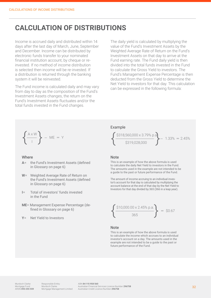### **CALCULATION OF DISTRIBUTIONS**

Income is accrued daily and distributed within 14 days after the last day of March, June, September and December. Income can be distributed by electronic funds transfer to your nominated financial institution account, by cheque or reinvested. If no method of income distribution is selected then income will be re-invested. If a distribution is returned through the banking system it will be reinvested.

The Fund income is calculated daily and may vary from day to day as the composition of the Fund's Investment Assets changes, the return on the Fund's Investment Assets fluctuates and/or the total funds invested in the Fund changes.

The daily yield is calculated by multiplying the value of the Fund's Investment Assets by the Weighted Average Rate of Return on the Fund's Investment Assets on that day to arrive at the Fund earning rate. The Fund daily yield is then divided into the total funds invested in the Fund to calculate the Gross Yield to investors. The Fund's Management Expense Percentage is then deducted from the Gross Yield to determine the Net Yield to investors for that day. This calculation can be expressed in the following formula:

$$
\left\{\frac{A\times W}{I}\right\} - ME = Y
$$

#### Where

- **A**= the Fund's Investment Assets (defined in Glossary on page 6)
- **W**= Weighted Average Rate of Return on the Fund's Investment Assets (defined in Glossary on page 6)
- **I**= Total of investors' funds invested in the Fund
- **ME**= Management Expense Percentage (defined in Glossary on page 6)
- **Y**= Net Yield to Investors

#### Example

$$
\left\{\frac{\$318,560,000 \times 3.79\% \text{ p.a}}{\$319,028,000}\right\} - 1.33\% = 2.45\%
$$

#### **Note**

This is an example of how the above formula is used to calculate the daily Net Yield to investors in the Fund. The amounts used in the example are not intended to be a guide to the past or future performance of the Fund.

The amount of income accruing to an individual investor's account for that day is calculated by multiplying the account balance at the end of that day by the Net Yield to Investors for that day divided by 365 (366 in a leap year).

$$
\left\{\frac{\$10,000.00 \times 2.45\% \text{ p.a.}}{365}\right\} = \$0.67\%
$$

#### **Note**

This is an example of how the above formula is used to calculate the income which accrues to an individual investor's account on a day. The amounts used in the example are not intended to be a guide to the past or future performance of the Fund.

Responsible Entity: Murdoch Clarke Mortgage Management Limited

ABN 84 115 958 560 Australian Financial Services Licence Number 296758 Australian Credit Licence Number 296758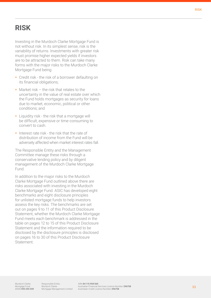### **RISK**

Investing in the Murdoch Clarke Mortgage Fund is not without risk. In its simplest sense, risk is the variability of returns. Investments with greater risk must promise higher expected yields if investors are to be attracted to them. Risk can take many forms with the major risks to the Murdoch Clarke Mortgage Fund being:

- Credit risk the risk of a borrower defaulting on its financial obligations;
- $\blacksquare$  Market risk the risk that relates to the uncertainty in the value of real estate over which the Fund holds mortgages as security for loans due to market, economic, political or other conditions; and
- **Example 1** Liquidity risk the risk that a mortgage will be difficult, expensive or time-consuming to convert to cash.
- Interest rate risk the risk that the rate of distribution of income from the Fund will be adversely affected when market interest rates fall.

The Responsible Entity and the Management Committee manage these risks through a conservative lending policy and by diligent management of the Murdoch Clarke Mortgage Fund.

In addition to the major risks to the Murdoch Clarke Mortgage Fund outlined above there are risks associated with investing in the Murdoch Clarke Mortgage Fund. ASIC has developed eight benchmarks and eight disclosure principles for unlisted mortgage funds to help investors assess the key risks. The benchmarks are set out on pages 9 to 11 of this Product Disclosure Statement, whether the Murdoch Clarke Mortgage Fund meets each benchmark is addressed in the table on pages 12 to 15 of this Product Disclosure Statement and the information required to be disclosed by the disclosure principles is disclosed on pages 16 to 30 of this Product Disclosure **Statement**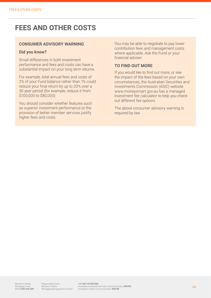### **FEES AND OTHER COSTS**

#### **CONSUMER ADVISORY WARNING**

#### **Did you know?**

Small differences in both investment performance and fees and costs can have a substantial impact on your long term returns.

For example, total annual fees and costs of 2% of your Fund balance rather than 1% could reduce your final return by up to 20% over a 30 year period (for example, reduce it from \$100,000 to \$80,000).

You should consider whether features such as superior investment performance or the provision of better member services justify higher fees and costs.

You may be able to negotiate to pay lower contribution fees and management costs where applicable. Ask the Fund or your financial adviser.

#### **TO FIND OUT MORE**

If you would like to find out more, or see the impact of the fees based on your own circumstances, the Australian Securities and Investments Commission (ASIC) website www.moneysmart.gov.au has a managed investment fee calculator to help you check out different fee options.

The above consumer advisory warning is required by law.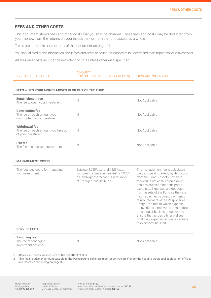#### **FEES AND OTHER COSTS**

This document shows fees and other costs that you may be charged. These fees and costs may be deducted from your money, from the returns on your investment or from the fund assets as a whole.

Taxes are set out in another part of this document on page 41.

You should read all the information about fees and costs because it is important to understand their impact on your investment.

All fees and costs include the net effect of GST unless otherwise specified.

|                     | AMOUNT <sup>1</sup>              |                          |
|---------------------|----------------------------------|--------------------------|
| TYPE OF FEE OR COST | (INC GST BUT NET OF GST CREDITS) | <b>HOW AND WHEN PAID</b> |

#### **FEES WHEN YOUR MONEY MOVES IN OR OUT OF THE FUND**

| <b>Establishment fee</b><br>The fee to open your investment                            | Nil | Not Applicable |
|----------------------------------------------------------------------------------------|-----|----------------|
| <b>Contribution fee</b><br>The fee on each amount you<br>contribute to your investment | Nil | Not Applicable |
| <b>Withdrawal fee</b><br>The fee on each amount you take out<br>of your investment     | Nil | Not Applicable |
| <b>Exit fee</b><br>The fee to close your investment                                    | Nil | Not Applicable |

#### **MANAGEMENT COSTS**

| The fees and costs for managing<br>your investment<br><b>SERVICE FEES</b> | Between 1.225% p.a. and 1.325% p.a.<br>comprising a management fee <sup>2</sup> of 1.025%<br>p.a. and expense recoveries in the range<br>of 0.20% p.a. and 0.30% p.a. | The management fee is calculated<br>daily and paid quarterly by deduction<br>from the Fund's assets. Expense<br>recoveries are accrued on a daily<br>basis to provision for anticipated<br>expenses. Expenses are deducted<br>from assets of the Fund as they are<br>incurred either by direct payment or<br>reimbursement of the Responsible<br>Entity. The rate at which expense<br>recoveries are recovered is monitored<br>on a regular basis to endeavour to<br>ensure that across a financial year<br>total daily expense recoveries equate<br>to expenses incurred. |
|---------------------------------------------------------------------------|-----------------------------------------------------------------------------------------------------------------------------------------------------------------------|----------------------------------------------------------------------------------------------------------------------------------------------------------------------------------------------------------------------------------------------------------------------------------------------------------------------------------------------------------------------------------------------------------------------------------------------------------------------------------------------------------------------------------------------------------------------------|
| <b>Switching fee</b><br>The fee for changing<br>investment options        | Nil                                                                                                                                                                   | Not Applicable                                                                                                                                                                                                                                                                                                                                                                                                                                                                                                                                                             |

1 All fees and costs are inclusive of the net effect of GST.

2 This fee includes an amount payable to the Participating Solicitors (see 'Issuer Fee Split' under the heading 'Additional Explanation of Fees and Costs' commencing on page 37).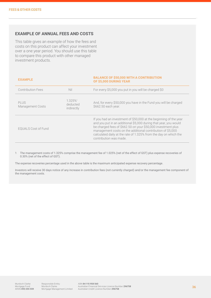#### **EXAMPLE OF ANNUAL FEES AND COSTS**

This table gives an example of how the fees and costs on this product can affect your investment over a one year period. You should use this table to compare this product with other managed investment products.

#### **EXAMPLE BALANCE OF \$50,000 WITH A CONTRIBUTION OF \$5,000 DURING YEAR**

| Contribution Fees          | Nil                               | For every \$5,000 you put in you will be charged \$0                                                                                                                                                                                                                                                                                                             |
|----------------------------|-----------------------------------|------------------------------------------------------------------------------------------------------------------------------------------------------------------------------------------------------------------------------------------------------------------------------------------------------------------------------------------------------------------|
| PLUS<br>Management Costs   | 1.325%1<br>deducted<br>indirectly | And, for every \$50,000 you have in the Fund you will be charged<br>\$662.50 each year.                                                                                                                                                                                                                                                                          |
| <b>EOUALS Cost of Fund</b> |                                   | If you had an investment of \$50,000 at the beginning of the year<br>and you put in an additional \$5,000 during that year, you would<br>be charged fees of \$662.50 on your \$50,000 investment plus<br>management costs on the additional contribution of \$5,000<br>calculated daily at the rate of 1.325% from the day on which the<br>contribution was made |

1 The management costs of 1.325% comprise the management fee of 1.025% (net of the effect of GST) plus expense recoveries of 0.30% (net of the effect of GST).

The expense recoveries percentage used in the above table is the maximum anticipated expense recovery percentage.

Investors will receive 30 days notice of any increase in contribution fees (not currently charged) and/or the management fee component of the management costs.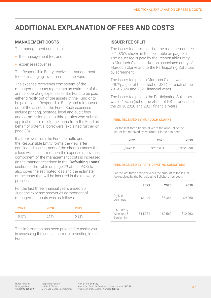# **ADDITIONAL EXPLANATION OF FEES AND COSTS**

#### **MANAGEMENT COSTS**

The management costs include:

- the management fee; and
- **expense recoveries.**

The Responsible Entity receives a management fee for managing investments in the Fund.

The expense recoveries component of the management costs represents an estimate of the annual operating expenses of the Fund to be paid either directly out of the assets of the Fund or to be paid by the Responsible Entity and reimbursed out of the assets of the Fund. Such expenses include printing, postage, legal and audit fees and commission paid to third parties who submit applications for mortgage loans from the Fund on behalf of potential borrowers (explained further on page 38).

If a borrower from the Fund defaults and the Responsible Entity forms the view after considered assessment of the circumstances that a loss will be incurred then the expense recoveries component of the management costs is increased (in the manner described in the "Defaulting Loans" section of the Table on page 29 of this PDS) to also cover the estimated loss and the estimate of the costs that will be incurred in the recovery process.

For the last three financial years ended 30 June the expense recoveries component of management costs was as follows:

| 2021  | 2020  | 2019  |
|-------|-------|-------|
| 0.17% | 0.19% | 0.22% |

This information has been provided to assist you in assessing the costs incurred in investing in the Fund.

#### **ISSUER FEE SPLIT**

The issuer fee forms part of the management fee of 1.025% shown in the fees table on page 35. The issuer fee is paid by the Responsible Entity to Murdoch Clarke and/or an associated entity of Murdoch Clarke and to the Participating Solicitors by agreement.

The issuer fee paid to Murdoch Clarke was 0.10%pa (net of the effect of GST) for each of the 2019, 2020 and 2021 financial years.

The issuer fee paid to the Participating Solicitors was 0.40%pa (net of the effect of GST) for each of the 2019, 2020 and 2021 financial years.

#### **FEES RECEIVED BY MURDOCH CLARKE**

For the last three financial years the amount of the Issuer fee received by Murdoch Clarke has been:

| 2021      | 2020      | 2019      |
|-----------|-----------|-----------|
| \$269,111 | \$244,921 | \$191,898 |

#### **FEES RECEIVED BY PARTICIPATING SOLICITORS**

For the last three financial years the amount of the Issuer

| fee received by the Participating Solicitors has been: |          |         |                |  |
|--------------------------------------------------------|----------|---------|----------------|--|
|                                                        | 2021     | 2020    | 2019           |  |
| Ogilvie<br>Jennings                                    | \$4,119  | \$5,366 | <b>\$9.260</b> |  |
| E.R. Henry<br>Wherrett &<br>Benjamin                   | \$14.284 | \$9,562 | \$10,263       |  |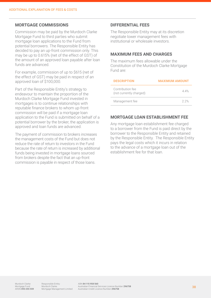#### **MORTGAGE COMMISSIONS**

Commission may be paid by the Murdoch Clarke Mortgage Fund to third parties who submit mortgage loan applications to the Fund from potential borrowers. The Responsible Entity has decided to pay an up-front commission only. This may be up to 0.615% (net of the effect of GST) of the amount of an approved loan payable after loan funds are advanced.

For example, commission of up to \$615 (net of the effect of GST) may be paid in respect of an approved loan of \$100,000.

Part of the Responsible Entity's strategy to endeavour to maintain the proportion of the Murdoch Clarke Mortgage Fund invested in mortgages is to continue relationships with reputable finance brokers to whom up-front commission will be paid if a mortgage loan application to the Fund is submitted on behalf of a potential borrower by the broker, the application is approved and loan funds are advanced.

The payment of commission to brokers increases the management costs of the Fund but does not reduce the rate of return to investors in the Fund because the rate of return is increased by additional funds being invested in mortgage loans sourced from brokers despite the fact that an up-front commission is payable in respect of those loans.

#### **DIFFERENTIAL FEES**

The Responsible Entity may at its discretion negotiate lower management fees with institutional or wholesale investors.

#### **MAXIMUM FEES AND CHARGES**

The maximum fees allowable under the Constitution of the Murdoch Clarke Mortgage Fund are:

| <b>DESCRIPTION</b>                          | <b>MAXIMUM AMOUNT</b> |
|---------------------------------------------|-----------------------|
| Contribution fee<br>(not currently charged) | 44%                   |
| Management fee                              | 2.2%                  |

#### **MORTGAGE LOAN ESTABLISHMENT FEE**

Any mortgage loan establishment fee charged to a borrower from the Fund is paid direct by the borrower to the Responsible Entity and retained by the Responsible Entity. The Responsible Entity pays the legal costs which it incurs in relation to the advance of a mortgage loan out of the establishment fee for that loan.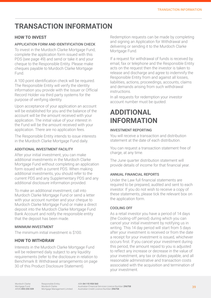# **TRANSACTION INFORMATION**

### **HOW TO INVEST**

#### APPLICATION FORM AND IDENTIFICATION CHECK

To invest in the Murdoch Clarke Mortgage Fund, complete the application form issued with this PDS (see page 49) and send or take it and your cheque to the Responsible Entity. Please make cheques payable to Murdoch Clarke Mortgage Fund.

A 100 point identification check will be required. The Responsible Entity will verify the identity information you provide with the Issuer or Official Record Holder via third party systems for the purpose of verifying identity.

Upon acceptance of your application an account will be established for you and the balance of the account will be the amount received with your application. The initial value of your interest in the Fund will be the amount received with your application. There are no application fees.

The Responsible Entity intends to issue interests in the Murdoch Clarke Mortgage Fund daily.

#### ADDITIONAL INVESTMENT FACILITY

After your initial investment, you can make additional investments in the Murdoch Clarke Mortgage Fund without completing an application form issued with a current PDS. When making additional investments, you should refer to the current PDS and any Supplementary PDS and any additional disclosure information provided.

To make an additional investment, call into Murdoch Clarke Mortgage Fund or send a letter with your account number and your cheque to Murdoch Clarke Mortgage Fund or make a direct deposit into the Murdoch Clarke Mortgage Fund Bank Account and notify the responsible entity that the deposit has been made.

#### MINIMUM INVESTMENT

The minimum initial investment is \$100.

#### **HOW TO WITHDRAW**

Interests in the Murdoch Clarke Mortgage Fund will be redeemed daily subject to any liquidity requirements (refer to the disclosure in relation to Benchmark 8: Withdrawal arrangements on page 30 of this Product Disclosure Statement).

Redemption requests can be made by completing and signing an Application for Withdrawal and delivering or sending it to the Murdoch Clarke Mortgage Fund.

If a request for withdrawal of funds is received by email, fax or telephone and the Responsible Entity acts on the request then the investor is taken to release and discharge and agree to indemnify the Responsible Entity from and against all losses, liabilities, actions, proceedings, accounts, claims and demands arising from such withdrawal instructions.

In all requests for redemption your investor account number must be quoted.

### **ADDITIONAL INFORMATION**

#### INVESTMENT REPORTING

You will receive a transaction and distribution statement at the date of each distribution.

You can request a transaction statement free of charge, at any time.

The June quarter distribution statement will provide details of income for that financial year.

#### ANNUAL FINANCIAL REPORTS

Under the Law full financial statements are required to be prepared, audited and sent to each investor. If you do not wish to receive a copy of these statements, please tick the relevant box on the application form.

#### COOLING OFF

As a retail investor you have a period of 14 days (the Cooling-off period) during which you can cancel your initial investment by notifying us in writing. This 14 day period will start from 5 days after your investment is received or from the date a receipt for your investment is issued, whichever occurs first. If you cancel your investment during this period, the amount repaid to you is adjusted to reflect any increase or decrease in the value of your investment, any tax or duties payable, and all reasonable administrative and transaction costs associated with the acquisition and termination of your investment.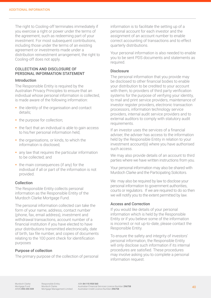The right to Cooling-off terminates immediately if you exercise a right or power under the terms of the agreement, such as redeeming part of your investment. For most subsequent contributions, including those under the terms of an existing agreement or investments made under a distribution reinvestment arrangement, the right to Cooling-off does not apply.

#### COLLECTION AND DISCLOSURE OF PERSONAL INFORMATION STATEMENT

#### Introduction

The Responsible Entity is required by the Australian Privacy Principles to ensure that an individual whose personal information is collected, is made aware of the following information:

- the identity of the organisation and contact details;
- the purpose for collection;
- the fact that an individual is able to gain access to his/her personal information held;
- the organisations, or kinds, to which the information is disclosed;
- any law that requires the particular information to be collected; and
- the main consequences (if any) for the individual if all or part of the information is not provided.

#### Collection

The Responsible Entity collects personal information as the Responsible Entity of the Murdoch Clarke Mortgage Fund.

The personal information collected can take the form of your name, address, contact number (phone, fax, email address), investment and withdrawal transactions, account number of a financial institution if you have elected to have your distributions transmitted electronically, date of birth, tax file number, and copies of documents relating to the 100 point check for identification purposes

#### Purpose of collection

The primary purpose of the collection of personal

information is to facilitate the setting up of a personal account for each investor and the assignment of an account number to enable correct accounting of transactions and to effect quarterly distributions.

Your personal information is also needed to enable you to be sent PDS documents and statements as required.

#### **Disclosure**

The personal information that you provide may be disclosed to other financial bodies to enable your distribution to be credited to your account with them, to providers of third party verification systems for the purpose of verifying your identity, to mail and print service providers, maintenance of investor register providers, electronic transaction processors, information technology service providers, internal audit service providers and to external auditors to comply with statutory audit requirements.

If an investor uses the services of a financial adviser, the adviser has access to the information held by the Responsible Entity in relation to your investment account(s) where you have authorised such access.

We may also provide details of an account to third parties where we have written instructions from you.

Your personal information may also be shared with Murdoch Clarke and the Participating Solicitors.

We may also be required by law to disclose your personal information to government authorities, courts or regulators. If we are required to do so then we will notify you to the extent permitted by law.

#### Access and Correction

If you would like details of your personal information which is held by the Responsible Entity or if you believe some of the information is incorrect or not up-to-date, please contact the Responsible Entity.

To ensure the safety and integrity of investors' personal information, the Responsible Entity will only disclose such information if its internal procedures are satisfied. These procedures may involve asking you to complete a personal information request.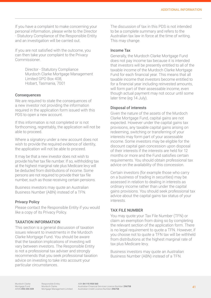If you have a complaint to make concerning your personal information, please write to the Director - Statutory Compliance of the Responsible Entity and an investigation will be carried out.

If you are not satisfied with the outcome, you can then take your complaint to the Privacy Commissioner.

> Director - Statutory Compliance Murdoch Clarke Mortgage Management Limited GPO Box 408, Hobart, Tasmania, 7001

#### **Consequences**

We are required to state the consequences of a new investor not providing the information required in the application form issued with this PDS to open a new account.

If this information is not completed or is not forthcoming, regrettably, the application will not be able to proceed.

Where a signatory under a new account does not wish to provide the required evidence of identity, the application will not be able to proceed.

It may be that a new investor does not wish to provide his/her tax file number. If so, withholding tax at the highest marginal rate plus Medicare levy will be deducted from distributions of income. Some persons are not required to provide their tax file number, such as those receiving certain pensions.

Business investors may quote an Australian Business Number (ABN) instead of a TFN.

#### Privacy Policy

Please contact the Responsible Entity if you would like a copy of its Privacy Policy.

#### TAXATION INFORMATION

This section is a general discussion of taxation issues relevant to investments in the Murdoch Clarke Mortgage Fund. You should be aware that the taxation implications of investing will vary between investors. The Responsible Entity is not a professional tax adviser and strongly recommends that you seek professional taxation advice on investing to take into account your particular circumstances.

The discussion of tax in this PDS is not intended to be a complete summary and refers to the Australian tax law in force at the time of writing. This may change.

#### Income Tax

Generally, the Murdoch Clarke Mortgage Fund does not pay income tax because it is intended that investors will be presently entitled to all of the taxable income of the Murdoch Clarke Mortgage Fund for each financial year. This means that all taxable income that investors become entitled to for a financial year including reinvested amounts, will form part of their assessable income, even though actual payment may not occur until some later time (eg 14 July).

#### Disposal of interests

Given the nature of the assets of the Murdoch Clarke Mortgage Fund, capital gains are not expected. However under the capital gains tax provisions, any taxable capital gains arising on redeeming, switching or transferring of your interests may form part of your assessable income. Some investors may be eligible for the discount capital gain concession upon disposal of their interests if the interests are held for 12 months or more and the Fund satisfies certain requirements. You should obtain professional tax advice on the availability of this concession.

Certain investors (for example those who carry on a business of trading in securities) may be assessed in relation to dealing in interests as ordinary income rather than under the capital gains provisions. You should seek professional tax advice about the capital gains tax status of your interests.

#### TAX FILE NUMBER

You may quote your Tax File Number (TFN) or claim an exemption from doing so by completing the relevant section of the application form. There is no legal requirement to quote a TFN. However, if you choose not to quote a TFN tax will be withheld from distributions at the highest marginal rate of tax plus Medicare levy.

Business investors may quote an Australian Business Number (ABN) instead of a TFN.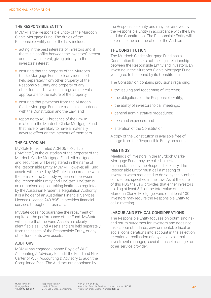#### THE RESPONSIBLE ENTITY

MCMM is the Responsible Entity of the Murdoch Clarke Mortgage Fund. The duties of the Responsible Entity under the Law include:

- acting in the best interests of investors and, if there is a conflict between the investors' interest and its own interest, giving priority to the investors' interest;
- **Exercise 1** ensuring that the property of the Murdoch Clarke Mortgage Fund is clearly identified, held separately from other property of the Responsible Entity and property of any other fund and is valued at regular intervals appropriate to the nature of the property;
- **Exercise 1 and 1** ensuring that payments from the Murdoch Clarke Mortgage Fund are made in accordance with the Constitution and the Law; and
- **r** reporting to ASIC breaches of the Law in relation to the Murdoch Clarke Mortgage Fund that have or are likely to have a materially adverse effect on the interests of members.

#### THE CUSTODIAN

MyState Bank Limited ACN 067 729 195 ("MyState") is the custodian of the property of the Murdoch Clarke Mortgage Fund. All mortgages and securities will be registered in the name of the Responsible Entity, MCMM. However, all Fund assets will be held by MyState in accordance with the terms of the Custody Agreement between the Responsible Entity and MyState. MyState is an authorised deposit taking institution regulated by the Australian Prudential Regulation Authority. It is a holder of an Australian Financial Services Licence (Licence 240 896). It provides financial services throughout Tasmania.

MyState does not guarantee the repayment of capital or the performance of the Fund. MyState will ensure that the Fund Assets are clearly identifiable as Fund Assets and are held separately from the assets of the Responsible Entity, or any other fund or its own assets.

#### AUDITORS

MCMM has engaged Joanne Doyle of WLF Accounting & Advisory to audit the Fund and Nick Carter of WLF Accounting & Advisory to audit the Compliance Plan. The Auditors are appointed by

the Responsible Entity and may be removed by the Responsible Entity in accordance with the Law and the Constitution. The Responsible Entity will determine the remuneration of the Auditors.

#### THE CONSTITUTION

The Murdoch Clarke Mortgage Fund has a Constitution that sets out the legal relationship between the Responsible Entity and investors. By investing in the Murdoch Clarke Mortgage Fund you agree to be bound by its Constitution.

The Constitution contains provisions regarding:

- the issuing and redeeming of interests;
- the obligations of the Responsible Entity;
- the ability of investors to call meetings:
- **q**eneral administrative procedures;
- fees and expenses; and
- alteration of the Constitution.

A copy of the Constitution is available free of charge from the Responsible Entity on request.

#### **MEETINGS**

Meetings of investors in the Murdoch Clarke Mortgage Fund may be called in certain circumstances by the Responsible Entity. The Responsible Entity must call a meeting of investors when requested to do so by the number of investors specified in the Law. As at the date of this PDS the Law provides that either investors holding at least 5 % of the total value of the Murdoch Clarke Mortgage Fund or at least 100 investors may require the Responsible Entity to call a meeting.

#### LABOUR AND ETHICAL CONSIDERATIONS

The Responsible Entity focuses on optimising risk and return outcomes for investors and does not take labour standards, environmental, ethical or social considerations into account in the selection, retention or realisation of any asset, external investment manager, specialist asset manager or other service provider.

Murdoch Clarke Mortgage Fund ARSN 093 255 559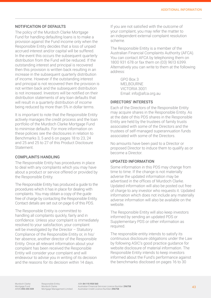#### NOTIFICATION OF DEFAULTS

The policy of the Murdoch Clarke Mortgage Fund for handling defaulting loans is to make a provision against the Fund income only when the Responsible Entity decides that a loss of unpaid accrued interest and/or capital will be suffered. In the event this occurs the subsequent quarterly distribution from the Fund will be reduced. If the outstanding interest and principal is recovered then this provision is written back resulting in an increase in the subsequent quarterly distribution of income. However if the outstanding interest and principal is not recovered then the provision is not written back and the subsequent distribution is not increased. Investors will be notified on their distribution statements of any loan defaults that will result in a quarterly distribution of income being reduced by more than 5% in dollar terms.

It is important to note that the Responsible Entity actively manages the credit process and the loan portfolio of the Murdoch Clarke Mortgage Fund to minimise defaults. For more information on these policies see the disclosures in relation to Benchmarks 3, 5 and 6 on pages 18 to 23, 24 and 25 and 25 to 27 of this Product Disclosure Statement.

#### COMPLAINTS HANDLING

The Responsible Entity has procedures in place to deal with any complaints which you may have about a product or service offered or provided by the Responsible Entity.

The Responsible Entity has produced a guide to the procedures which it has in place for dealing with complaints. You may obtain a copy of the guide free of charge by contacting the Responsible Entity. Contact details are set out on page 6 of this PDS.

The Responsible Entity is committed to handling all complaints quickly, fairly and in confidence. Unless your complaint is immediately resolved to your satisfaction, your complaint will be investigated by the Director - Statutory Compliance of the Responsible Entity or, in his/ her absence, another director of the Responsible Entity. Once all relevant information about your complaint has been received the Responsible Entity will consider your complaint and will endeavour to advise you in writing of its decision and the reasons for its decision within 14 days.

If you are not satisfied with the outcome of your complaint, you may refer the matter to an independent external complaint resolution scheme.

The Responsible Entity is a member of the Australian Financial Complaints Authority (AFCA). You can contact AFCA by telephoning them on 1800 931 678 or fax them on (03) 9613 6399. Alternatively you can write to them at the following address:

> GPO Box 3 MELBOURNE VICTORIA 3001 Email: info@afca.org.au

#### DIRECTORS' INTERESTS

Each of the Directors of the Responsible Entity may acquire shares in the Responsible Entity. As at the date of this PDS shares in the Responsible Entity are held by the trustees of family trusts associated with some of the Directors and the trustees of self-managed superannuation funds associated with some of the Directors.

No amounts have been paid to a Director or proposed Director to induce them to qualify as or become a Director.

#### UPDATED INFORMATION

Some information in this PDS may change from time to time. If the change is not materially adverse the updated information may be advertised in the offices of Murdoch Clarke. Updated information will also be posted out free of charge to any investor who requests it. Updated information which does not include any materially adverse information will also be available on the website.

The Responsible Entity will also keep investors informed by sending an updated PDS or Supplementary PDS or other information as required.

The responsible entity intends to satisfy its continuous disclosure obligations under the Law by following ASIC's good practice guidance for website disclosure of material information. The Responsible Entity intends to keep investors informed about the Fund's performance against the benchmarks disclosed on pages 16 to 30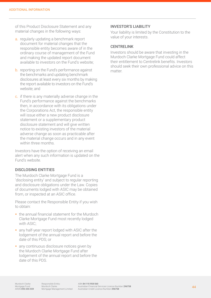of this Product Disclosure Statement and any material changes in the following ways:

- a. regularly updating a benchmark report document for material changes that the responsible entity becomes aware of in the ordinary course of management of the Fund and making the updated report document available to investors on the Fund's website;
- b. reporting on the Fund's performance against the benchmarks and updating benchmark disclosures at least every six months by making the report available to investors on the Fund's website; and
- c. if there is any materially adverse change in the Fund's performance against the benchmarks then, in accordance with its obligations under the Corporations Act, the responsible entity will issue either a new product disclosure statement or a supplementary product disclosure statement and will give written notice to existing investors of the material adverse change as soon as practicable after the material change occurs and in any event within three months.

Investors have the option of receiving an email alert when any such information is updated on the Fund's website.

#### DISCLOSING ENTITIES

The Murdoch Clarke Mortgage Fund is a 'disclosing entity' and subject to regular reporting and disclosure obligations under the Law. Copies of documents lodged with ASIC may be obtained from, or inspected at an ASIC office.

Please contact the Responsible Entity if you wish to obtain:

- **the annual financial statement for the Murdoch** Clarke Mortgage Fund most recently lodged with ASIC;
- any half-year report lodged with ASIC after the lodgement of the annual report and before the date of this PDS; or
- any continuous disclosure notices given by the Murdoch Clarke Mortgage Fund after lodgement of the annual report and before the date of this PDS.

#### INVESTOR'S LIABILITY

Your liability is limited by the Constitution to the value of your interests.

#### **CENTRELINK**

Investors should be aware that investing in the Murdoch Clarke Mortgage Fund could affect their entitlement to Centrelink benefits. Investors should seek their own professional advice on this matter.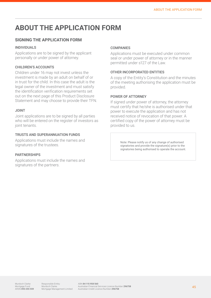# **ABOUT THE APPLICATION FORM**

#### **SIGNING THE APPLICATION FORM**

#### INDIVIDUALS

Applications are to be signed by the applicant personally or under power of attorney.

#### CHILDREN'S ACCOUNTS

Children under 16 may not invest unless the investment is made by an adult on behalf of or in trust for the child. In this case the adult is the legal owner of the investment and must satisfy the identification verification requirements set out on the next page of this Product Disclosure Statement and may choose to provide their TFN.

#### JOINT

Joint applications are to be signed by all parties who will be entered on the register of investors as joint tenants.

#### TRUSTS AND SUPERANNUATION FUNDS

Applications must include the names and signatures of the trustees.

#### **PARTNERSHIPS**

Applications must include the names and signatures of the partners.

#### **COMPANIES**

Applications must be executed under common seal or under power of attorney or in the manner permitted under s127 of the Law.

#### OTHER INCORPORATED ENTITIES

A copy of the Entity's Constitution and the minutes of the meeting authorising the application must be provided.

#### POWER OF ATTORNEY

If signed under power of attorney, the attorney must certify that he/she is authorised under that power to execute the application and has not received notice of revocation of that power. A certified copy of the power of attorney must be provided to us.

> Note: Please notify us of any change of authorised signatories and provide the signature(s) prior to the signatories being authorised to operate the account.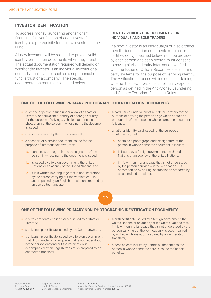#### **INVESTOR IDENTIFICATION**

To address money laundering and terrorism financing risk, verification of each investor's identity is a prerequisite for all new investors in the Fund.

All new investors will be required to provide valid identity verification documents when they invest. The actual documentation required will depend on whether the investor is an individual investor or a non-individual investor such as a superannuation fund, a trust or a company. The specific documentation required is outlined below.

#### IDENTITY VERIFICATION DOCUMENTS FOR INDIVIDUALS AND SOLE TRADERS

If a new investor is an individual(s) or a sole trader then the identification documents (original or certified copy) specified below must be provided by each person and each person must consent to having his/her identity information verified with the Issuer or Official Record Holder via third party systems for the purpose of verifying identity. The verification process will include ascertaining whether the new investor is a politically exposed person as defined in the Anti-Money Laundering and Counter-Terrorism Financing Rules.

#### **ONE OF THE FOLLOWING PRIMARY PHOTOGRAPHIC IDENTIFICATION DOCUMENTS**

- a licence or permit issued under a law of a State or Territory or equivalent authority of a foreign country for the purpose of driving a vehicle that contains a photograph of the person in whose name the document is issued;
- a passport issued by the Commonwealth;
- a passport or a similar document issued for the purpose of international travel, that:
	- a. contains a photograph and the signature of the person in whose name the document is issued;
	- b. is issued by a foreign government, the United Nations or an agency of the United Nations; and
	- c. if it is written in a language that is not understood by the person carrying out the verification – is accompanied by an English translation prepared by an accredited translator;
- a card issued under a law of a State or Territory for the purpose of proving the person's age which contains a photograph of the person in whose name the document is issued;
- a national identity card issued for the purpose of identification, that:
	- a. contains a photograph and the signature of the person in whose name the document is issued;
	- b. is issued by a foreign government, the United Nations or an agency of the United Nations;
	- c. if it is written in a language that is not understood by the person carrying out the verification  $-$  is accompanied by an English translation prepared by an accredited translator.

#### OR

#### **ONE OF THE FOLLOWING PRIMARY NON-PHOTOGRAPHIC IDENTIFICATION DOCUMENTS**

- a birth certificate or birth extract issued by a State or Territory;
- a citizenship certificate issued by the Commonwealth;
- a citizenship certificate issued by a foreign government that, if it is written in a language that is not understood by the person carrying out the verification, is accompanied by an English translation prepared by an accredited translator;
- a birth certificate issued by a foreign government, the United Nations or an agency of the United Nations that, if it is written in a language that is not understood by the person carrying out the verification – is accompanied by an English translation prepared by an accredited translator;
- a pension card issued by Centrelink that entitles the person in whose name the card is issued to financial benefits.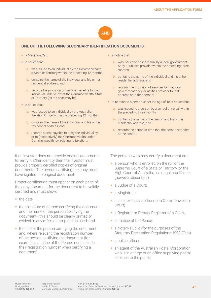### AND

#### **ONE OF THE FOLLOWING SECONDARY IDENTIFICATION DOCUMENTS**

- a Medicare Card
- **a** notice that:
	- a. was issued to an individual by the Commonwealth, a State or Territory within the preceding 12 months;
	- b. contains the name of the individual and his or her residential address; and
	- c. records the provision of financial benefits to the individual under a law of the Commonwealth, State or Territory (as the case may be);
- **a** notice that:
	- a. was issued to an individual by the Australian Taxation Office within the preceding 12 months;
	- b. contains the name of the individual and his or her residential address; and
	- c. records a debt payable to or by the individual by or to (respectively) the Commonwealth under Commonwealth law relating to taxation;.

If an investor does not provide original documents to verify his/her identity then the investor must provide properly certified copies of original documents. The person certifying the copy must have sighted the original document.

Proper certification must appear on each page of the copy document for the document to be validly certified and must show:

- the date;
- $\blacksquare$  the signature of person certifying the document and the name of the person certifying the document - this should be clearly printed or evident in any official stamp that is used; and
- $\blacksquare$  the title of the person certifying the document and, where relevant, the registration number of the person certifying the document (for example a Justice of the Peace must include their registration number when certifying a document)
- a notice that:
	- a. was issued to an individual by a local government body or utilities provider within the preceding three months;
	- b. contains the name of the individual and his or her residential address; and
	- c. records the provision of services by that local government body or utilities provider to that address or to that person;
- **in relation to a person under the age of 18, a notice that:** 
	- a. was issued to a person by a school principal within the preceding three months;
	- b. contains the name of the person and his or her residential address; and
	- c. records the period of time that the person attended at the school.

The persons who may certify a document are:

- a person who is enrolled on the roll of the Supreme Court of a State or Territory, or the High Court of Australia, as a legal practitioner (however described);
- a Judge of a Court;
- a Magistrate;
- **a** chief executive officer of a Commonwealth Court;
- a Registrar or Deputy Registrar of a Court;
- **a** Justice of the Peace:
- **a** Notary Public (for the purposes of the Statutory Declaration Regulations 1993 (Cth));
- a police officer;
- **an agent of the Australian Postal Corporation** who is in charge of an office supplying postal services to the public;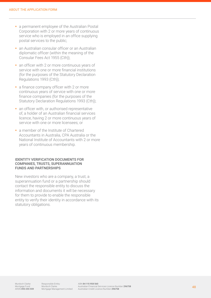- **a** permanent employee of the Australian Postal Corporation with 2 or more years of continuous service who is employed in an office supplying postal services to the public;
- **an Australian consular officer or an Australian** diplomatic officer (within the meaning of the Consular Fees Act 1955 (Cth));
- an officer with 2 or more continuous years of service with one or more financial institutions (for the purposes of the Statutory Declaration Regulations 1993 (Cth));
- a finance company officer with 2 or more continuous years of service with one or more finance companies (for the purposes of the Statutory Declaration Regulations 1993 (Cth));
- an officer with, or authorised representative of, a holder of an Australian financial services licence, having 2 or more continuous years of service with one or more licensees; or
- a member of the Institute of Chartered Accountants in Australia, CPA Australia or the National Institute of Accountants with 2 or more years of continuous membership.

#### IDENTITY VERIFICATION DOCUMENTS FOR COMPANIES, TRUSTS, SUPERANNUATION FUNDS AND PARTNERSHIPS

New investors who are a company, a trust, a superannuation fund or a partnership should contact the responsible entity to discuss the information and documents it will be necessary for them to provide to enable the responsible entity to verify their identity in accordance with its statutory obligations.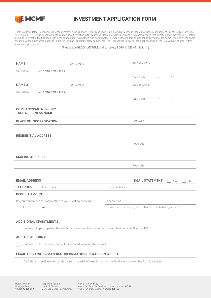

### **INVESTMENT APPLICATION FORM**

There is a PDS dated 19 January 2022 for investing in the Murdoch Clarke Mortgage Fund issued by Murdoch Clarke Mortgage Management Limited ACN 115 958 560 AFSL No.296758. The PDS contains information about investing in the Murdoch Clarke Mortgage Fund and it is recommended that investors read the entire PDS before deciding to invest in the Murdoch Clarke Mortgage Fund. Any person who gives another person access to this application form must at the same time and by the same means give the other person access to the PDS and any supplementary documents. The Responsible Entity will send paper copies of the PDS without charge (within Australia) upon request.

(Please use BLOCK LETTERS and complete BOTH SIDES of this form)

| <b>NAME1</b>               |                                                                                                                | SURNAME(S) |                        | GIVEN NAME(S)                                                 |            |            |    |
|----------------------------|----------------------------------------------------------------------------------------------------------------|------------|------------------------|---------------------------------------------------------------|------------|------------|----|
| PLEASE CIRCLE              | MR / MRS / MS / MISS                                                                                           |            |                        |                                                               |            |            |    |
|                            |                                                                                                                |            |                        | Date Birth                                                    | $\sqrt{2}$ | $\sqrt{2}$ |    |
| <b>NAME 2</b>              |                                                                                                                | SURNAME(S) |                        | GIVEN NAME(S)                                                 |            |            |    |
| PLEASE CIRCLE              | MR / MRS / MS / MISS                                                                                           |            |                        |                                                               |            |            |    |
|                            |                                                                                                                |            |                        | Date Birth                                                    | $\sqrt{2}$ | $\sqrt{2}$ |    |
| <b>TRUST/BUSINESS NAME</b> | <b>COMPANY/PARTNERSHIP/</b>                                                                                    |            |                        |                                                               |            |            |    |
|                            | PLACE OF INCORPORATION                                                                                         |            |                        | ACN/ARBN                                                      |            |            |    |
|                            |                                                                                                                |            |                        |                                                               |            |            |    |
| <b>RESIDENTIAL ADDRESS</b> |                                                                                                                |            |                        |                                                               |            |            |    |
|                            |                                                                                                                |            |                        | Postcode                                                      |            |            |    |
|                            |                                                                                                                |            |                        |                                                               |            |            |    |
| <b>MAILING ADDRESS</b>     |                                                                                                                |            |                        |                                                               |            |            |    |
|                            |                                                                                                                |            |                        | Postcode                                                      |            |            |    |
|                            |                                                                                                                |            |                        |                                                               |            |            |    |
|                            |                                                                                                                |            |                        |                                                               |            |            |    |
| <b>EMAIL ADDRESS</b>       |                                                                                                                |            |                        | <b>EMAIL STATEMENT</b>                                        |            | Yes        | No |
| <b>TELEPHONE</b>           | After Hours:                                                                                                   |            | <b>Business Hours:</b> |                                                               |            |            |    |
| <b>DEPOSIT AMOUNT</b>      |                                                                                                                |            | \$                     |                                                               |            |            |    |
|                            | Do you want to add this application to your existing account?                                                  |            | Account no.            |                                                               |            |            |    |
| No                         | Yes                                                                                                            |            |                        | Please make cheques payable to 'Murdoch Clarke Mortgage Fund' |            |            |    |
|                            |                                                                                                                |            |                        |                                                               |            |            |    |
|                            | <b>ADDITIONAL INVESTMENTS</b>                                                                                  |            |                        |                                                               |            |            |    |
|                            | I/We elect to participate in the additional investments arrangements described on page 39 of the PDS           |            |                        |                                                               |            |            |    |
| <b>AUDITED ACCOUNTS</b>    |                                                                                                                |            |                        |                                                               |            |            |    |
|                            | I/We elect not to receive a copy of the audited financial statements                                           |            |                        |                                                               |            |            |    |
|                            | <b>EMAIL ALERT WHEN MATERIAL INFORMATION UPDATED ON WEBSITE</b>                                                |            |                        |                                                               |            |            |    |
|                            | I/WE elect to receive an email alert when material information about the Fund is updated on the Fund's website |            |                        |                                                               |            |            |    |
|                            |                                                                                                                |            |                        |                                                               |            |            |    |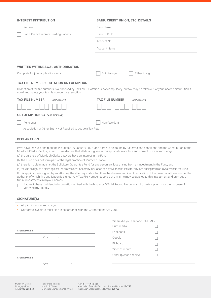| <b>INTEREST DISTRIBUTION</b>                                                                                                                                                                                         | <b>BANK, CREDIT UNION, ETC. DETAILS</b>                                                                                                                                                                                                                                                                                                                                                                                                                                                                                                                                                                                                                                                                                                                                                                                                                                                                                                                                                                            |
|----------------------------------------------------------------------------------------------------------------------------------------------------------------------------------------------------------------------|--------------------------------------------------------------------------------------------------------------------------------------------------------------------------------------------------------------------------------------------------------------------------------------------------------------------------------------------------------------------------------------------------------------------------------------------------------------------------------------------------------------------------------------------------------------------------------------------------------------------------------------------------------------------------------------------------------------------------------------------------------------------------------------------------------------------------------------------------------------------------------------------------------------------------------------------------------------------------------------------------------------------|
| Reinvest                                                                                                                                                                                                             | <b>Bank Name</b>                                                                                                                                                                                                                                                                                                                                                                                                                                                                                                                                                                                                                                                                                                                                                                                                                                                                                                                                                                                                   |
| Bank, Credit Union or Building Society                                                                                                                                                                               | Bank BSB No.                                                                                                                                                                                                                                                                                                                                                                                                                                                                                                                                                                                                                                                                                                                                                                                                                                                                                                                                                                                                       |
|                                                                                                                                                                                                                      | Account No.                                                                                                                                                                                                                                                                                                                                                                                                                                                                                                                                                                                                                                                                                                                                                                                                                                                                                                                                                                                                        |
|                                                                                                                                                                                                                      | <b>Account Name</b>                                                                                                                                                                                                                                                                                                                                                                                                                                                                                                                                                                                                                                                                                                                                                                                                                                                                                                                                                                                                |
|                                                                                                                                                                                                                      |                                                                                                                                                                                                                                                                                                                                                                                                                                                                                                                                                                                                                                                                                                                                                                                                                                                                                                                                                                                                                    |
|                                                                                                                                                                                                                      |                                                                                                                                                                                                                                                                                                                                                                                                                                                                                                                                                                                                                                                                                                                                                                                                                                                                                                                                                                                                                    |
| WRITTEN WITHDRAWAL AUTHORISATION                                                                                                                                                                                     |                                                                                                                                                                                                                                                                                                                                                                                                                                                                                                                                                                                                                                                                                                                                                                                                                                                                                                                                                                                                                    |
| Complete for joint applications only                                                                                                                                                                                 | Both to sign<br>Either to sign                                                                                                                                                                                                                                                                                                                                                                                                                                                                                                                                                                                                                                                                                                                                                                                                                                                                                                                                                                                     |
| TAX FILE NUMBER QUOTATION OR EXEMPTION                                                                                                                                                                               |                                                                                                                                                                                                                                                                                                                                                                                                                                                                                                                                                                                                                                                                                                                                                                                                                                                                                                                                                                                                                    |
| you do not quote your tax file number or exemption.                                                                                                                                                                  | Collection of tax file numbers is authorised by Tax Law. Quotation is not compulsory, but tax may be taken out of your income distribution if                                                                                                                                                                                                                                                                                                                                                                                                                                                                                                                                                                                                                                                                                                                                                                                                                                                                      |
| <b>TAX FILE NUMBER</b><br><b>APPLICANT1</b>                                                                                                                                                                          | <b>TAX FILE NUMBER</b><br><b>APPLICANT 2</b>                                                                                                                                                                                                                                                                                                                                                                                                                                                                                                                                                                                                                                                                                                                                                                                                                                                                                                                                                                       |
|                                                                                                                                                                                                                      |                                                                                                                                                                                                                                                                                                                                                                                                                                                                                                                                                                                                                                                                                                                                                                                                                                                                                                                                                                                                                    |
| <b>OR EXEMPTIONS</b> (PLEASE TICK ONE)                                                                                                                                                                               |                                                                                                                                                                                                                                                                                                                                                                                                                                                                                                                                                                                                                                                                                                                                                                                                                                                                                                                                                                                                                    |
| Pensioner                                                                                                                                                                                                            | Non-Resident                                                                                                                                                                                                                                                                                                                                                                                                                                                                                                                                                                                                                                                                                                                                                                                                                                                                                                                                                                                                       |
| Association or Other Entity Not Required to Lodge a Tax Return                                                                                                                                                       |                                                                                                                                                                                                                                                                                                                                                                                                                                                                                                                                                                                                                                                                                                                                                                                                                                                                                                                                                                                                                    |
|                                                                                                                                                                                                                      |                                                                                                                                                                                                                                                                                                                                                                                                                                                                                                                                                                                                                                                                                                                                                                                                                                                                                                                                                                                                                    |
| <b>DECLARATION</b>                                                                                                                                                                                                   |                                                                                                                                                                                                                                                                                                                                                                                                                                                                                                                                                                                                                                                                                                                                                                                                                                                                                                                                                                                                                    |
| (a) the partners of Murdoch Clarke Lawyers have an interest in the Fund;<br>(b) the Fund does not form part of the legal practice of Murdoch Clarke;<br>future investments in my/our names.<br>verifying my identity | I/We have received and read the PDS dated 19 January 2022 and agree to be bound by its terms and conditions and the Constitution of the<br>Murdoch Clarke Mortgage Fund. I/We declare that all details given in this application are true and correct. I/we acknowledge:<br>(c) there is no claim against the Solicitors' Guarantee Fund for any pecuniary loss arising from an investment in the Fund; and<br>(d) there is no right to a claim against the professional indemnity insurance held by Murdoch Clarke for any loss arising from an investment in the Fund.<br>If this application is signed by an attorney, the attorney states that there has been no notice of revocation of the power of attorney under the<br>authority of which this application is signed. Any Tax File Number supplied at any time may be applied to this investment and previous or<br>I agree to have my identity information verified with the Issuer or Official Record Holder via third party systems for the purpose of |
| <b>SIGNATURE(S)</b>                                                                                                                                                                                                  |                                                                                                                                                                                                                                                                                                                                                                                                                                                                                                                                                                                                                                                                                                                                                                                                                                                                                                                                                                                                                    |
| All joint investors must sign.<br>Corporate investors must sign in accordance with the Corporations Act 2001.                                                                                                        |                                                                                                                                                                                                                                                                                                                                                                                                                                                                                                                                                                                                                                                                                                                                                                                                                                                                                                                                                                                                                    |
|                                                                                                                                                                                                                      | Where did you hear about MCMF?                                                                                                                                                                                                                                                                                                                                                                                                                                                                                                                                                                                                                                                                                                                                                                                                                                                                                                                                                                                     |
| <b>SIGNATURE 1</b>                                                                                                                                                                                                   | Print media                                                                                                                                                                                                                                                                                                                                                                                                                                                                                                                                                                                                                                                                                                                                                                                                                                                                                                                                                                                                        |
| DATE<br>$\sqrt{2}$<br>$\sqrt{ }$                                                                                                                                                                                     | Facebook                                                                                                                                                                                                                                                                                                                                                                                                                                                                                                                                                                                                                                                                                                                                                                                                                                                                                                                                                                                                           |
|                                                                                                                                                                                                                      | Google<br>Billboard                                                                                                                                                                                                                                                                                                                                                                                                                                                                                                                                                                                                                                                                                                                                                                                                                                                                                                                                                                                                |
|                                                                                                                                                                                                                      | Word of mouth                                                                                                                                                                                                                                                                                                                                                                                                                                                                                                                                                                                                                                                                                                                                                                                                                                                                                                                                                                                                      |
| <b>SIGNATURE 2</b>                                                                                                                                                                                                   | Other (please specify)                                                                                                                                                                                                                                                                                                                                                                                                                                                                                                                                                                                                                                                                                                                                                                                                                                                                                                                                                                                             |
| DATE<br>$\sqrt{2}$<br>$\sqrt{2}$                                                                                                                                                                                     |                                                                                                                                                                                                                                                                                                                                                                                                                                                                                                                                                                                                                                                                                                                                                                                                                                                                                                                                                                                                                    |
|                                                                                                                                                                                                                      |                                                                                                                                                                                                                                                                                                                                                                                                                                                                                                                                                                                                                                                                                                                                                                                                                                                                                                                                                                                                                    |
|                                                                                                                                                                                                                      |                                                                                                                                                                                                                                                                                                                                                                                                                                                                                                                                                                                                                                                                                                                                                                                                                                                                                                                                                                                                                    |
|                                                                                                                                                                                                                      |                                                                                                                                                                                                                                                                                                                                                                                                                                                                                                                                                                                                                                                                                                                                                                                                                                                                                                                                                                                                                    |

Murdoch Clarke<br>Mortgage Fund<br>ARSN **093 255 559** 

ABN **84 115 958 560**<br>Australian Financial Services Licence Number **296758**<br>Australian Credit Licence Number **296758**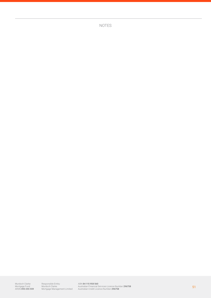NOTES